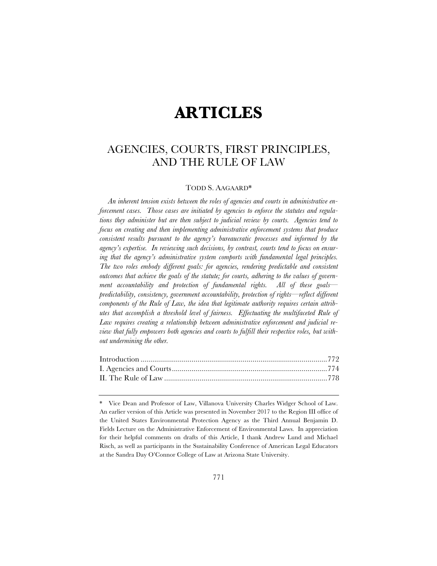# **ARTICLES**

# AGENCIES, COURTS, FIRST PRINCIPLES, AND THE RULE OF LAW

# TODD S. AAGAARD\*

*An inherent tension exists between the roles of agencies and courts in administrative enforcement cases. Those cases are initiated by agencies to enforce the statutes and regulations they administer but are then subject to judicial review by courts. Agencies tend to focus on creating and then implementing administrative enforcement systems that produce consistent results pursuant to the agency's bureaucratic processes and informed by the agency's expertise. In reviewing such decisions, by contrast, courts tend to focus on ensuring that the agency's administrative system comports with fundamental legal principles. The two roles embody different goals: for agencies, rendering predictable and consistent outcomes that achieve the goals of the statute; for courts, adhering to the values of government accountability and protection of fundamental rights. All of these goals predictability, consistency, government accountability, protection of rights—reflect different components of the Rule of Law, the idea that legitimate authority requires certain attributes that accomplish a threshold level of fairness. Effectuating the multifaceted Rule of Law requires creating a relationship between administrative enforcement and judicial review that fully empowers both agencies and courts to fulfill their respective roles, but without undermining the other.* 

<sup>\*</sup> Vice Dean and Professor of Law, Villanova University Charles Widger School of Law. An earlier version of this Article was presented in November 2017 to the Region III office of the United States Environmental Protection Agency as the Third Annual Benjamin D. Fields Lecture on the Administrative Enforcement of Environmental Laws. In appreciation for their helpful comments on drafts of this Article, I thank Andrew Lund and Michael Risch, as well as participants in the Sustainability Conference of American Legal Educators at the Sandra Day O'Connor College of Law at Arizona State University.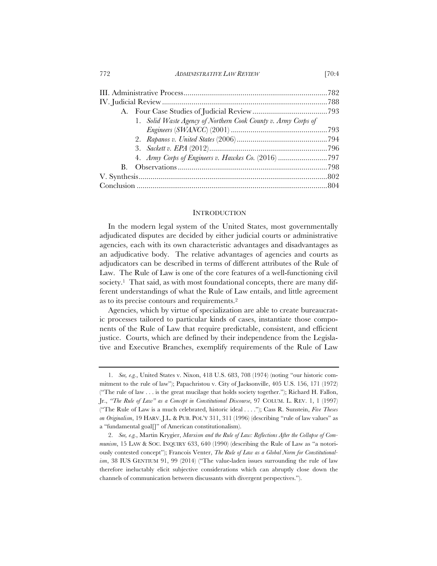772 *ADMINISTRATIVE LAW REVIEW* [70:4

| 1. Solid Waste Agency of Northern Cook County v. Army Corps of |  |
|----------------------------------------------------------------|--|
|                                                                |  |
|                                                                |  |
|                                                                |  |
|                                                                |  |
| $\mathbf{B}$ .                                                 |  |
|                                                                |  |
|                                                                |  |

# **INTRODUCTION**

In the modern legal system of the United States, most governmentally adjudicated disputes are decided by either judicial courts or administrative agencies, each with its own characteristic advantages and disadvantages as an adjudicative body. The relative advantages of agencies and courts as adjudicators can be described in terms of different attributes of the Rule of Law. The Rule of Law is one of the core features of a well-functioning civil society.<sup>1</sup> That said, as with most foundational concepts, there are many different understandings of what the Rule of Law entails, and little agreement as to its precise contours and requirements.2

Agencies, which by virtue of specialization are able to create bureaucratic processes tailored to particular kinds of cases, instantiate those components of the Rule of Law that require predictable, consistent, and efficient justice. Courts, which are defined by their independence from the Legislative and Executive Branches, exemplify requirements of the Rule of Law

<sup>1.</sup> *See, e.g.*, United States v. Nixon, 418 U.S. 683, 708 (1974) (noting "our historic commitment to the rule of law"); Papachristou v. City of Jacksonville, 405 U.S. 156, 171 (1972) ("The rule of law . . . is the great mucilage that holds society together."); Richard H. Fallon, Jr., *"The Rule of Law" as a Concept in Constitutional Discourse*, 97 COLUM. L. REV. 1, 1 (1997) ("The Rule of Law is a much celebrated, historic ideal . . . ."); Cass R. Sunstein, *Five Theses on Originalism*, 19 HARV. J.L. & PUB. POL'Y 311, 311 (1996) (describing "rule of law values" as a "fundamental goal[]" of American constitutionalism).

<sup>2.</sup> *See, e.g.*, Martin Krygier, *Marxism and the Rule of Law: Reflections After the Collapse of Communism*, 15 LAW & SOC. INQUIRY 633, 640 (1990) (describing the Rule of Law as "a notoriously contested concept"); Francois Venter, *The Rule of Law as a Global Norm for Constitutionalism*, 38 IUS GENTIUM 91, 99 (2014) ("The value-laden issues surrounding the rule of law therefore ineluctably elicit subjective considerations which can abruptly close down the channels of communication between discussants with divergent perspectives.").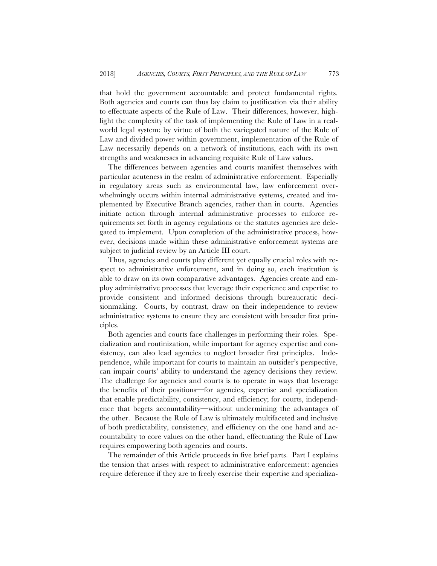that hold the government accountable and protect fundamental rights. Both agencies and courts can thus lay claim to justification via their ability to effectuate aspects of the Rule of Law. Their differences, however, highlight the complexity of the task of implementing the Rule of Law in a realworld legal system: by virtue of both the variegated nature of the Rule of Law and divided power within government, implementation of the Rule of Law necessarily depends on a network of institutions, each with its own strengths and weaknesses in advancing requisite Rule of Law values.

The differences between agencies and courts manifest themselves with particular acuteness in the realm of administrative enforcement. Especially in regulatory areas such as environmental law, law enforcement overwhelmingly occurs within internal administrative systems, created and implemented by Executive Branch agencies, rather than in courts. Agencies initiate action through internal administrative processes to enforce requirements set forth in agency regulations or the statutes agencies are delegated to implement. Upon completion of the administrative process, however, decisions made within these administrative enforcement systems are subject to judicial review by an Article III court.

Thus, agencies and courts play different yet equally crucial roles with respect to administrative enforcement, and in doing so, each institution is able to draw on its own comparative advantages. Agencies create and employ administrative processes that leverage their experience and expertise to provide consistent and informed decisions through bureaucratic decisionmaking. Courts, by contrast, draw on their independence to review administrative systems to ensure they are consistent with broader first principles.

Both agencies and courts face challenges in performing their roles. Specialization and routinization, while important for agency expertise and consistency, can also lead agencies to neglect broader first principles. Independence, while important for courts to maintain an outsider's perspective, can impair courts' ability to understand the agency decisions they review. The challenge for agencies and courts is to operate in ways that leverage the benefits of their positions—for agencies, expertise and specialization that enable predictability, consistency, and efficiency; for courts, independence that begets accountability—without undermining the advantages of the other. Because the Rule of Law is ultimately multifaceted and inclusive of both predictability, consistency, and efficiency on the one hand and accountability to core values on the other hand, effectuating the Rule of Law requires empowering both agencies and courts.

The remainder of this Article proceeds in five brief parts. Part I explains the tension that arises with respect to administrative enforcement: agencies require deference if they are to freely exercise their expertise and specializa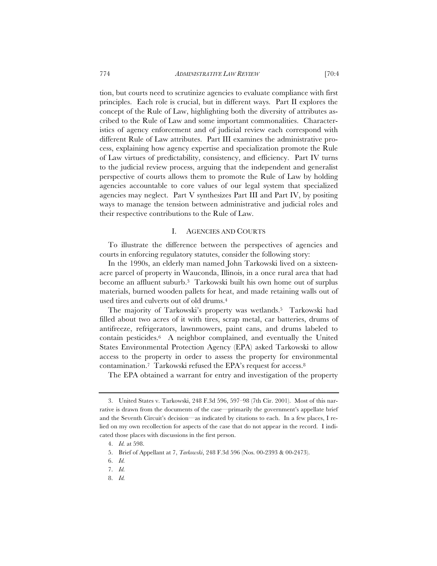tion, but courts need to scrutinize agencies to evaluate compliance with first principles. Each role is crucial, but in different ways. Part II explores the concept of the Rule of Law, highlighting both the diversity of attributes ascribed to the Rule of Law and some important commonalities. Characteristics of agency enforcement and of judicial review each correspond with different Rule of Law attributes. Part III examines the administrative process, explaining how agency expertise and specialization promote the Rule of Law virtues of predictability, consistency, and efficiency. Part IV turns to the judicial review process, arguing that the independent and generalist perspective of courts allows them to promote the Rule of Law by holding agencies accountable to core values of our legal system that specialized agencies may neglect. Part V synthesizes Part III and Part IV, by positing ways to manage the tension between administrative and judicial roles and their respective contributions to the Rule of Law.

#### I. AGENCIES AND COURTS

To illustrate the difference between the perspectives of agencies and courts in enforcing regulatory statutes, consider the following story:

In the 1990s, an elderly man named John Tarkowski lived on a sixteenacre parcel of property in Wauconda, Illinois, in a once rural area that had become an affluent suburb.3 Tarkowski built his own home out of surplus materials, burned wooden pallets for heat, and made retaining walls out of used tires and culverts out of old drums.4

The majority of Tarkowski's property was wetlands.<sup>5</sup> Tarkowski had filled about two acres of it with tires, scrap metal, car batteries, drums of antifreeze, refrigerators, lawnmowers, paint cans, and drums labeled to contain pesticides.6 A neighbor complained, and eventually the United States Environmental Protection Agency (EPA) asked Tarkowski to allow access to the property in order to assess the property for environmental contamination.7 Tarkowski refused the EPA's request for access.8

The EPA obtained a warrant for entry and investigation of the property

8. *Id.*

<sup>3.</sup> United States v. Tarkowski, 248 F.3d 596, 597–98 (7th Cir. 2001). Most of this narrative is drawn from the documents of the case—primarily the government's appellate brief and the Seventh Circuit's decision—as indicated by citations to each. In a few places, I relied on my own recollection for aspects of the case that do not appear in the record. I indicated those places with discussions in the first person.

<sup>4.</sup> *Id.* at 598.

<sup>5.</sup> Brief of Appellant at 7, *Tarkowski*, 248 F.3d 596 (Nos. 00-2393 & 00-2473).

<sup>6.</sup> *Id.*

<sup>7.</sup> *Id.*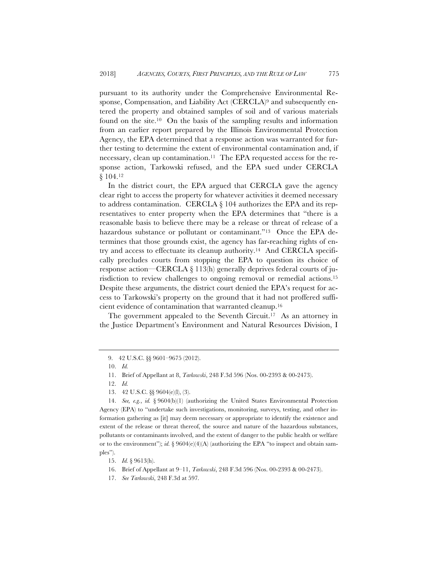pursuant to its authority under the Comprehensive Environmental Response, Compensation, and Liability Act (CERCLA)<sup>9</sup> and subsequently entered the property and obtained samples of soil and of various materials found on the site.10 On the basis of the sampling results and information from an earlier report prepared by the Illinois Environmental Protection Agency, the EPA determined that a response action was warranted for further testing to determine the extent of environmental contamination and, if necessary, clean up contamination.11 The EPA requested access for the response action, Tarkowski refused, and the EPA sued under CERCLA § 104.12

In the district court, the EPA argued that CERCLA gave the agency clear right to access the property for whatever activities it deemed necessary to address contamination. CERCLA § 104 authorizes the EPA and its representatives to enter property when the EPA determines that "there is a reasonable basis to believe there may be a release or threat of release of a hazardous substance or pollutant or contaminant."13 Once the EPA determines that those grounds exist, the agency has far-reaching rights of entry and access to effectuate its cleanup authority.14 And CERCLA specifically precludes courts from stopping the EPA to question its choice of response action—CERCLA § 113(h) generally deprives federal courts of jurisdiction to review challenges to ongoing removal or remedial actions.<sup>15</sup> Despite these arguments, the district court denied the EPA's request for access to Tarkowski's property on the ground that it had not proffered sufficient evidence of contamination that warranted cleanup.16

The government appealed to the Seventh Circuit.<sup>17</sup> As an attorney in the Justice Department's Environment and Natural Resources Division, I

17. *See Tarkowski*, 248 F.3d at 597*.*

<sup>9. 42</sup> U.S.C. §§ 9601–9675 (2012).

<sup>10.</sup> *Id.*

<sup>11.</sup> Brief of Appellant at 8, *Tarkowski*, 248 F.3d 596 (Nos. 00-2393 & 00-2473).

<sup>12.</sup> *Id.*

<sup>13. 42</sup> U.S.C. §§ 9604(e)(l), (3).

<sup>14.</sup> *See, e.g.*, *id.* § 9604(b)(1) (authorizing the United States Environmental Protection Agency (EPA) to "undertake such investigations, monitoring, surveys, testing, and other information gathering as [it] may deem necessary or appropriate to identify the existence and extent of the release or threat thereof, the source and nature of the hazardous substances, pollutants or contaminants involved, and the extent of danger to the public health or welfare or to the environment"); *id.* § 9604(e)(4)(A) (authorizing the EPA "to inspect and obtain samples").

<sup>15.</sup> *Id.* § 9613(h).

<sup>16.</sup> Brief of Appellant at 9–11, *Tarkowski*, 248 F.3d 596 (Nos. 00-2393 & 00-2473).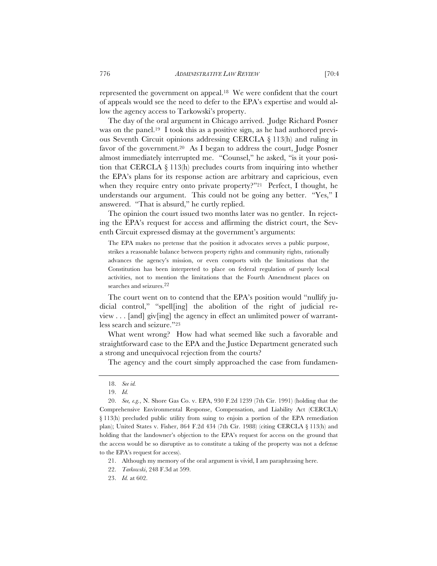represented the government on appeal.18 We were confident that the court of appeals would see the need to defer to the EPA's expertise and would allow the agency access to Tarkowski's property.

The day of the oral argument in Chicago arrived. Judge Richard Posner was on the panel.19 I took this as a positive sign, as he had authored previous Seventh Circuit opinions addressing CERCLA § 113(h) and ruling in favor of the government.20 As I began to address the court, Judge Posner almost immediately interrupted me. "Counsel," he asked, "is it your position that CERCLA § 113(h) precludes courts from inquiring into whether the EPA's plans for its response action are arbitrary and capricious, even when they require entry onto private property?"<sup>21</sup> Perfect, I thought, he understands our argument. This could not be going any better. "Yes," I answered. "That is absurd," he curtly replied.

The opinion the court issued two months later was no gentler. In rejecting the EPA's request for access and affirming the district court, the Seventh Circuit expressed dismay at the government's arguments:

The EPA makes no pretense that the position it advocates serves a public purpose, strikes a reasonable balance between property rights and community rights, rationally advances the agency's mission, or even comports with the limitations that the Constitution has been interpreted to place on federal regulation of purely local activities, not to mention the limitations that the Fourth Amendment places on searches and seizures.22

The court went on to contend that the EPA's position would "nullify judicial control," "spell[ing] the abolition of the right of judicial review . . . [and] giv[ing] the agency in effect an unlimited power of warrantless search and seizure."23

What went wrong? How had what seemed like such a favorable and straightforward case to the EPA and the Justice Department generated such a strong and unequivocal rejection from the courts?

The agency and the court simply approached the case from fundamen-

21. Although my memory of the oral argument is vivid, I am paraphrasing here.

- 22. *Tarkowski*, 248 F.3d at 599.
- 23. *Id.* at 602.

<sup>18.</sup> *See id.*

<sup>19.</sup> *Id.*

<sup>20.</sup> *See, e.g.*, N. Shore Gas Co. v. EPA, 930 F.2d 1239 (7th Cir. 1991) (holding that the Comprehensive Environmental Response, Compensation, and Liability Act (CERCLA) § 113(h) precluded public utility from suing to enjoin a portion of the EPA remediation plan); United States v. Fisher, 864 F.2d 434 (7th Cir. 1988) (citing CERCLA § 113(h) and holding that the landowner's objection to the EPA's request for access on the ground that the access would be so disruptive as to constitute a taking of the property was not a defense to the EPA's request for access).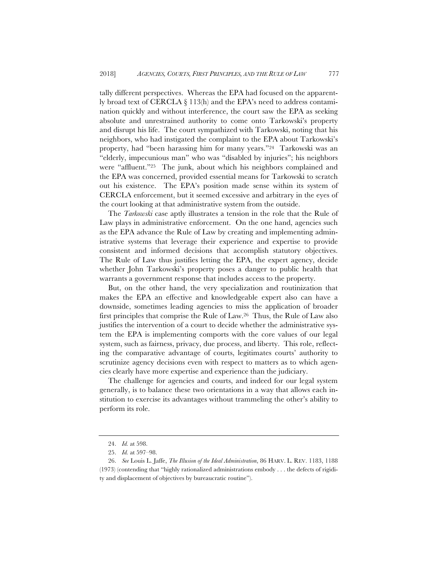tally different perspectives. Whereas the EPA had focused on the apparently broad text of CERCLA § 113(h) and the EPA's need to address contamination quickly and without interference, the court saw the EPA as seeking absolute and unrestrained authority to come onto Tarkowski's property and disrupt his life. The court sympathized with Tarkowski, noting that his neighbors, who had instigated the complaint to the EPA about Tarkowski's property, had "been harassing him for many years."24 Tarkowski was an "elderly, impecunious man" who was "disabled by injuries"; his neighbors were "affluent."25 The junk, about which his neighbors complained and the EPA was concerned, provided essential means for Tarkowski to scratch out his existence. The EPA's position made sense within its system of CERCLA enforcement, but it seemed excessive and arbitrary in the eyes of the court looking at that administrative system from the outside.

The *Tarkowski* case aptly illustrates a tension in the role that the Rule of Law plays in administrative enforcement. On the one hand, agencies such as the EPA advance the Rule of Law by creating and implementing administrative systems that leverage their experience and expertise to provide consistent and informed decisions that accomplish statutory objectives. The Rule of Law thus justifies letting the EPA, the expert agency, decide whether John Tarkowski's property poses a danger to public health that warrants a government response that includes access to the property.

But, on the other hand, the very specialization and routinization that makes the EPA an effective and knowledgeable expert also can have a downside, sometimes leading agencies to miss the application of broader first principles that comprise the Rule of Law.26 Thus, the Rule of Law also justifies the intervention of a court to decide whether the administrative system the EPA is implementing comports with the core values of our legal system, such as fairness, privacy, due process, and liberty. This role, reflecting the comparative advantage of courts, legitimates courts' authority to scrutinize agency decisions even with respect to matters as to which agencies clearly have more expertise and experience than the judiciary.

The challenge for agencies and courts, and indeed for our legal system generally, is to balance these two orientations in a way that allows each institution to exercise its advantages without trammeling the other's ability to perform its role.

<sup>24.</sup> *Id.* at 598.

<sup>25.</sup> *Id.* at 597–98.

<sup>26.</sup> *See* Louis L. Jaffe, *The Illusion of the Ideal Administration*, 86 HARV. L. REV. 1183, 1188 (1973) (contending that "highly rationalized administrations embody . . . the defects of rigidity and displacement of objectives by bureaucratic routine").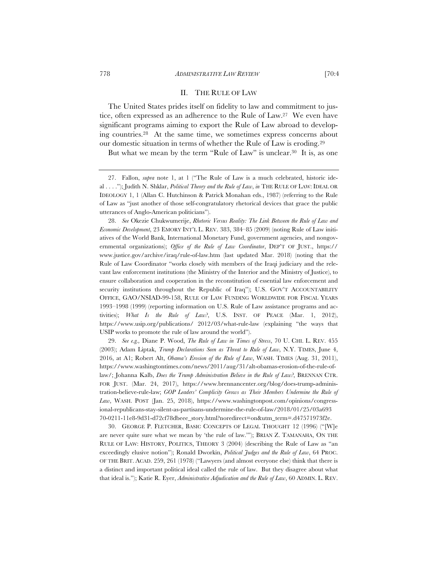#### II. THE RULE OF LAW

The United States prides itself on fidelity to law and commitment to justice, often expressed as an adherence to the Rule of Law.27 We even have significant programs aiming to export the Rule of Law abroad to developing countries.28 At the same time, we sometimes express concerns about our domestic situation in terms of whether the Rule of Law is eroding.29

But what we mean by the term "Rule of Law" is unclear.30 It is, as one

29. *See e.g.,* Diane P. Wood, *The Rule of Law in Times of Stress*, 70 U. CHI. L. REV. 455 (2003); Adam Liptak, *Trump Declarations Seen as Threat to Rule of Law*, N.Y. TIMES, June 4, 2016, at A1; Robert Alt, *Obama's Erosion of the Rule of Law*, WASH. TIMES (Aug. 31, 2011), https://www.washingtontimes.com/news/2011/aug/31/alt-obamas-erosion-of-the-rule-oflaw/; Johanna Kalb, *Does the Trump Administration Believe in the Rule of Law?*, BRENNAN CTR. FOR JUST. (Mar. 24, 2017), https://www.brennancenter.org/blog/does-trump-administration-believe-rule-law; *GOP Leaders' Complicity Grows as Their Members Undermine the Rule of Law*, WASH. POST (Jan. 25, 2018), https://www.washingtonpost.com/opinions/congressional-republicans-stay-silent-as-partisans-undermine-the-rule-of-law/2018/01/25/03a693 70-0211-11e8-9d31-d72cf78dbeee\_story.html?noredirect=on&utm\_term=.d47571973f2e.

30. GEORGE P. FLETCHER, BASIC CONCEPTS OF LEGAL THOUGHT 12 (1996) ("[W]e are never quite sure what we mean by 'the rule of law.'"); BRIAN Z. TAMANAHA, ON THE RULE OF LAW: HISTORY, POLITICS, THEORY 3 (2004) (describing the Rule of Law as "an exceedingly elusive notion"); Ronald Dworkin, *Political Judges and the Rule of Law*, 64 PROC. OF THE BRIT. ACAD. 259, 261 (1978) ("Lawyers (and almost everyone else) think that there is a distinct and important political ideal called the rule of law. But they disagree about what that ideal is."); Katie R. Eyer, *Administrative Adjudication and the Rule of Law*, 60 ADMIN. L. REV.

<sup>27.</sup> Fallon, *supra* note 1, at 1 ("The Rule of Law is a much celebrated, historic ideal . . . ."); Judith N. Shklar, *Political Theory and the Rule of Law*, *in* THE RULE OF LAW: IDEAL OR IDEOLOGY 1, 1 (Allan C. Hutchinson & Patrick Monahan eds., 1987) (referring to the Rule of Law as "just another of those self-congratulatory rhetorical devices that grace the public utterances of Anglo-American politicians").

<sup>28.</sup> *See* Okezie Chukwumerije, *Rhetoric Versus Reality: The Link Between the Rule of Law and Economic Development*, 23 EMORY INT'L L. REV. 383, 384–85 (2009) (noting Rule of Law initiatives of the World Bank, International Monetary Fund, government agencies, and nongovernmental organizations); *Office of the Rule of Law Coordinator*, DEP'T OF JUST., https:// www.justice.gov/archive/iraq/rule-of-law.htm (last updated Mar. 2018) (noting that the Rule of Law Coordinator "works closely with members of the Iraqi judiciary and the relevant law enforcement institutions (the Ministry of the Interior and the Ministry of Justice), to ensure collaboration and cooperation in the reconstitution of essential law enforcement and security institutions throughout the Republic of Iraq"); U.S. GOV'T ACCOUNTABILITY OFFICE, GAO/NSIAD-99-158, RULE OF LAW FUNDING WORLDWIDE FOR FISCAL YEARS 1993–1998 (1999) (reporting information on U.S. Rule of Law assistance programs and activities); *What Is the Rule of Law?*, U.S. INST. OF PEACE (Mar. 1, 2012), https://www.usip.org/publications/ 2012/03/what-rule-law (explaining "the ways that USIP works to promote the rule of law around the world").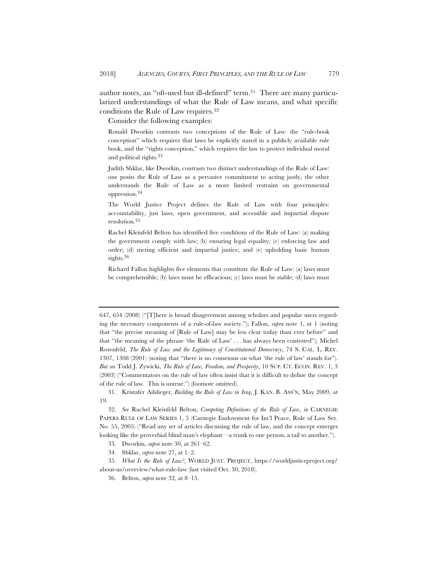author notes, an "oft-used but ill-defined" term.31 There are many particularized understandings of what the Rule of Law means, and what specific conditions the Rule of Law requires.32

Consider the following examples:

Ronald Dworkin contrasts two conceptions of the Rule of Law: the "rule-book conception" which requires that laws be explicitly stated in a publicly available rule book, and the "rights conception," which requires the law to protect individual moral and political rights.33

Judith Shklar, like Dworkin, contrasts two distinct understandings of the Rule of Law: one posits the Rule of Law as a pervasive commitment to acting justly, the other understands the Rule of Law as a more limited restraint on governmental oppression.34

The World Justice Project defines the Rule of Law with four principles: accountability, just laws, open government, and accessible and impartial dispute resolution.35

Rachel Kleinfeld Belton has identified five conditions of the Rule of Law: (a) making the government comply with law; (b) ensuring legal equality; (c) enforcing law and order; (d) meting efficient and impartial justice; and (e) upholding basic human rights.36

Richard Fallon highlights five elements that constitute the Rule of Law: (a) laws must be comprehensible; (b) laws must be efficacious; (c) laws must be stable; (d) laws must

<sup>647, 654 (2008) (&</sup>quot;[T]here is broad disagreement among scholars and popular users regarding the necessary components of a rule-of-law society."); Fallon, *supra* note 1, at 1 (noting that "the precise meaning of [Rule of Law] may be less clear today than ever before" and that "the meaning of the phrase 'the Rule of Law' . . . has always been contested"); Michel Rosenfeld, *The Rule of Law and the Legitimacy of Constitutional Democracy*, 74 S. CAL. L. REV. 1307, 1308 (2001) (noting that "there is no consensus on what 'the rule of law' stands for"). *But see* Todd J. Zywicki, *The Rule of Law, Freedom, and Prosperity*, 10 SUP. CT. ECON. REV. 1, 3 (2003) ("Commentators on the rule of law often insist that it is difficult to define the concept of the rule of law. This is untrue.") (footnote omitted).

<sup>31.</sup> Kristafer Ailslieger, *Building the Rule of Law in Iraq*, J. KAN. B. ASS'N, May 2009, at 19.

<sup>32.</sup> *See* Rachel Kleinfeld Belton, *Competing Definitions of the Rule of Law*, *in* CARNEGIE PAPERS RULE OF LAW SERIES 1, 5 (Carnegie Endowment for Int'l Peace, Rule of Law Ser. No. 55, 2005) ("Read any set of articles discussing the rule of law, and the concept emerges looking like the proverbial blind man's elephant—a trunk to one person, a tail to another.").

<sup>33.</sup> Dworkin, *supra* note 30, at 261–62.

<sup>34.</sup> Shklar, *supra* note 27, at 1–2.

<sup>35.</sup> *What Is the Rule of Law?*, WORLD JUST. PROJECT, https://worldjusticeproject.org/ about-us/overview/what-rule-law (last visited Oct. 30, 2018).

<sup>36.</sup> Belton, *supra* note 32, at 8–15.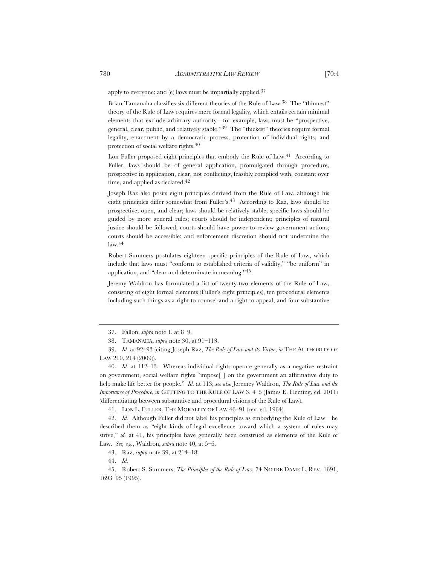apply to everyone; and (e) laws must be impartially applied.37

Brian Tamanaha classifies six different theories of the Rule of Law.38 The "thinnest" theory of the Rule of Law requires mere formal legality, which entails certain minimal elements that exclude arbitrary authority—for example, laws must be "prospective, general, clear, public, and relatively stable."39 The "thickest" theories require formal legality, enactment by a democratic process, protection of individual rights, and protection of social welfare rights.40

Lon Fuller proposed eight principles that embody the Rule of Law.<sup>41</sup> According to Fuller, laws should be of general application, promulgated through procedure, prospective in application, clear, not conflicting, feasibly complied with, constant over time, and applied as declared.<sup>42</sup>

Joseph Raz also posits eight principles derived from the Rule of Law, although his eight principles differ somewhat from Fuller's.43 According to Raz, laws should be prospective, open, and clear; laws should be relatively stable; specific laws should be guided by more general rules; courts should be independent; principles of natural justice should be followed; courts should have power to review government actions; courts should be accessible; and enforcement discretion should not undermine the law.44

Robert Summers postulates eighteen specific principles of the Rule of Law, which include that laws must "conform to established criteria of validity," "be uniform" in application, and "clear and determinate in meaning."45

Jeremy Waldron has formulated a list of twenty-two elements of the Rule of Law, consisting of eight formal elements (Fuller's eight principles), ten procedural elements including such things as a right to counsel and a right to appeal, and four substantive

41. LON L. FULLER, THE MORALITY OF LAW 46–91 (rev. ed. 1964).

42. *Id.* Although Fuller did not label his principles as embodying the Rule of Law—he described them as "eight kinds of legal excellence toward which a system of rules may strive," *id.* at 41, his principles have generally been construed as elements of the Rule of Law. *See, e.g.*, Waldron, *supra* note 40, at 5–6.

43. Raz, *supra* note 39, at 214–18.

44. *Id.*

45. Robert S. Summers, *The Principles of the Rule of Law*, 74 NOTRE DAME L. REV. 1691, 1693–95 (1995).

<sup>37.</sup> Fallon, *supra* note 1, at 8–9.

<sup>38.</sup> TAMANAHA, *supra* note 30, at 91–113.

<sup>39.</sup> *Id.* at 92–93 (citing Joseph Raz, *The Rule of Law and its Virtue*, *in* THE AUTHORITY OF LAW 210, 214 (2009)).

<sup>40.</sup> *Id.* at 112–13. Whereas individual rights operate generally as a negative restraint on government, social welfare rights "impose[ ] on the government an affirmative duty to help make life better for people." *Id.* at 113; *see also* Jeremey Waldron, *The Rule of Law and the Importance of Procedure*, *in* GETTING TO THE RULE OF LAW 3, 4–5 (James E. Fleming, ed. 2011) (differentiating between substantive and procedural visions of the Rule of Law).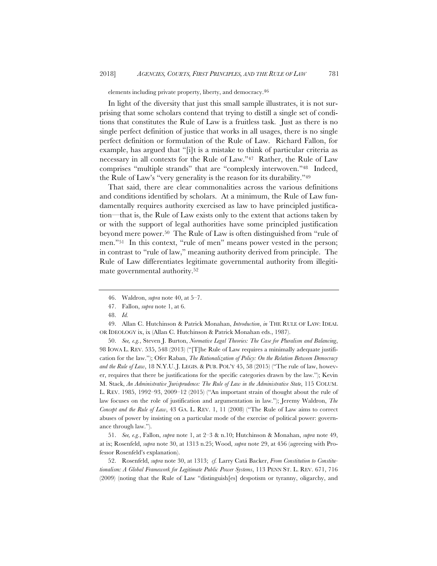elements including private property, liberty, and democracy.46

In light of the diversity that just this small sample illustrates, it is not surprising that some scholars contend that trying to distill a single set of conditions that constitutes the Rule of Law is a fruitless task. Just as there is no single perfect definition of justice that works in all usages, there is no single perfect definition or formulation of the Rule of Law. Richard Fallon, for example, has argued that "[i]t is a mistake to think of particular criteria as necessary in all contexts for the Rule of Law."47 Rather, the Rule of Law comprises "multiple strands" that are "complexly interwoven."48 Indeed, the Rule of Law's "very generality is the reason for its durability."49

That said, there are clear commonalities across the various definitions and conditions identified by scholars. At a minimum, the Rule of Law fundamentally requires authority exercised as law to have principled justification—that is, the Rule of Law exists only to the extent that actions taken by or with the support of legal authorities have some principled justification beyond mere power.50 The Rule of Law is often distinguished from "rule of men."51 In this context, "rule of men" means power vested in the person; in contrast to "rule of law," meaning authority derived from principle. The Rule of Law differentiates legitimate governmental authority from illegitimate governmental authority.52

49. Allan C. Hutchinson & Patrick Monahan, *Introduction*, *in* THE RULE OF LAW: IDEAL OR IDEOLOGY ix, ix (Allan C. Hutchinson & Patrick Monahan eds., 1987).

50. *See, e.g.*, Steven J. Burton, *Normative Legal Theories: The Case for Pluralism and Balancing*, 98 IOWA L. REV. 535, 548 (2013) ("[T]he Rule of Law requires a minimally adequate justification for the law."); Ofer Raban, *The Rationalization of Policy: On the Relation Between Democracy and the Rule of Law*, 18 N.Y.U.J. LEGIS. & PUB. POL'Y 45, 58 (2015) ("The rule of law, however, requires that there be justifications for the specific categories drawn by the law."); Kevin M. Stack, *An Administrative Jurisprudence: The Rule of Law in the Administrative State*, 115 COLUM. L. REV. 1985, 1992–93, 2009–12 (2015) ("An important strain of thought about the rule of law focuses on the role of justification and argumentation in law."); Jeremy Waldron, *The Concept and the Rule of Law*, 43 GA. L. REV. 1, 11 (2008) ("The Rule of Law aims to correct abuses of power by insisting on a particular mode of the exercise of political power: governance through law.").

51. *See, e.g.*, Fallon, *supra* note 1, at 2–3 & n.10; Hutchinson & Monahan, *supra* note 49, at ix; Rosenfeld, *supra* note 30, at 1313 n.25; Wood, *supra* note 29, at 456 (agreeing with Professor Rosenfeld's explanation).

52. Rosenfeld, *supra* note 30, at 1313; *cf.* Larry Catá Backer, *From Constitution to Constitutionalism: A Global Framework for Legitimate Public Power Systems*, 113 PENN ST. L. REV. 671, 716 (2009) (noting that the Rule of Law "distinguish[es] despotism or tyranny, oligarchy, and

<sup>46.</sup> Waldron, *supra* note 40, at 5–7.

<sup>47.</sup> Fallon, *supra* note 1, at 6.

<sup>48.</sup> *Id.*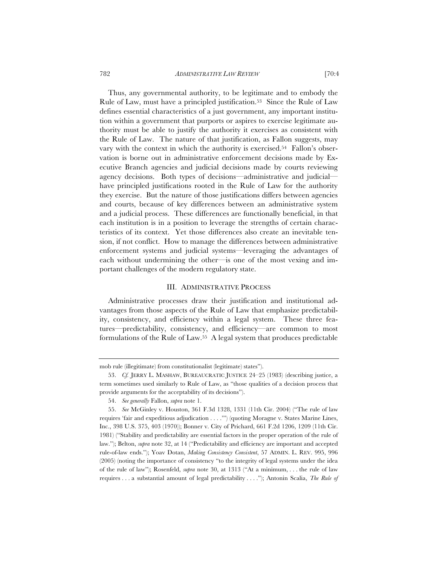782 *ADMINISTRATIVE LAW REVIEW* [70:4

Thus, any governmental authority, to be legitimate and to embody the Rule of Law, must have a principled justification.53 Since the Rule of Law defines essential characteristics of a just government, any important institution within a government that purports or aspires to exercise legitimate authority must be able to justify the authority it exercises as consistent with the Rule of Law. The nature of that justification, as Fallon suggests, may vary with the context in which the authority is exercised.54 Fallon's observation is borne out in administrative enforcement decisions made by Executive Branch agencies and judicial decisions made by courts reviewing agency decisions. Both types of decisions—administrative and judicial have principled justifications rooted in the Rule of Law for the authority they exercise. But the nature of those justifications differs between agencies and courts, because of key differences between an administrative system and a judicial process. These differences are functionally beneficial, in that each institution is in a position to leverage the strengths of certain characteristics of its context. Yet those differences also create an inevitable tension, if not conflict. How to manage the differences between administrative enforcement systems and judicial systems—leveraging the advantages of each without undermining the other—is one of the most vexing and important challenges of the modern regulatory state.

#### III. ADMINISTRATIVE PROCESS

Administrative processes draw their justification and institutional advantages from those aspects of the Rule of Law that emphasize predictability, consistency, and efficiency within a legal system. These three features—predictability, consistency, and efficiency—are common to most formulations of the Rule of Law.55 A legal system that produces predictable

mob rule (illegitimate) from constitutionalist (legitimate) states").

<sup>53.</sup> *Cf.* JERRY L. MASHAW, BUREAUCRATIC JUSTICE 24–25 (1983) (describing justice, a term sometimes used similarly to Rule of Law, as "those qualities of a decision process that provide arguments for the acceptability of its decisions").

<sup>54.</sup> *See generally* Fallon, *supra* note 1.

<sup>55.</sup> *See* McGinley v. Houston, 361 F.3d 1328, 1331 (11th Cir. 2004) ("The rule of law requires 'fair and expeditious adjudication . . . .'") (quoting Moragne v. States Marine Lines, Inc., 398 U.S. 375, 403 (1970)); Bonner v. City of Prichard, 661 F.2d 1206, 1209 (11th Cir. 1981) ("Stability and predictability are essential factors in the proper operation of the rule of law."); Belton, *supra* note 32, at 14 ("Predictability and efficiency are important and accepted rule-of-law ends."); Yoav Dotan, *Making Consistency Consistent*, 57 ADMIN. L. REV. 995, 996 (2005) (noting the importance of consistency "to the integrity of legal systems under the idea of the rule of law"); Rosenfeld, *supra* note 30, at 1313 ("At a minimum, . . . the rule of law requires . . . a substantial amount of legal predictability . . . ."); Antonin Scalia, *The Rule of*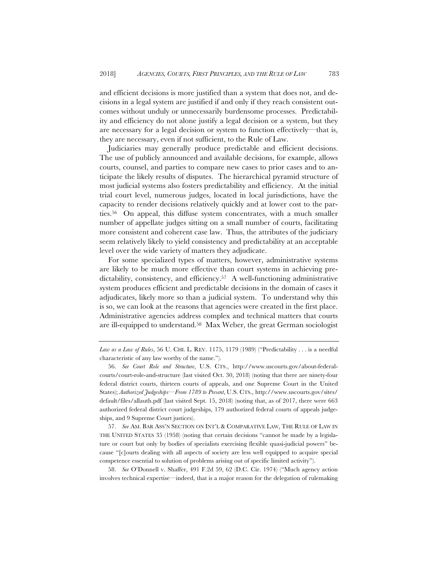and efficient decisions is more justified than a system that does not, and decisions in a legal system are justified if and only if they reach consistent outcomes without unduly or unnecessarily burdensome processes. Predictability and efficiency do not alone justify a legal decision or a system, but they are necessary for a legal decision or system to function effectively—that is, they are necessary, even if not sufficient, to the Rule of Law.

Judiciaries may generally produce predictable and efficient decisions. The use of publicly announced and available decisions, for example, allows courts, counsel, and parties to compare new cases to prior cases and to anticipate the likely results of disputes. The hierarchical pyramid structure of most judicial systems also fosters predictability and efficiency. At the initial trial court level, numerous judges, located in local jurisdictions, have the capacity to render decisions relatively quickly and at lower cost to the parties.56 On appeal, this diffuse system concentrates, with a much smaller number of appellate judges sitting on a small number of courts, facilitating more consistent and coherent case law. Thus, the attributes of the judiciary seem relatively likely to yield consistency and predictability at an acceptable level over the wide variety of matters they adjudicate.

For some specialized types of matters, however, administrative systems are likely to be much more effective than court systems in achieving predictability, consistency, and efficiency.57 A well-functioning administrative system produces efficient and predictable decisions in the domain of cases it adjudicates, likely more so than a judicial system. To understand why this is so, we can look at the reasons that agencies were created in the first place. Administrative agencies address complex and technical matters that courts are ill-equipped to understand.58 Max Weber, the great German sociologist

57. *See* AM. BAR ASS'N SECTION ON INT'L & COMPARATIVE LAW, THE RULE OF LAW IN THE UNITED STATES 35 (1958) (noting that certain decisions "cannot be made by a legislature or court but only by bodies of specialists exercising flexible quasi-judicial powers" because "[c]ourts dealing with all aspects of society are less well equipped to acquire special competence essential to solution of problems arising out of specific limited activity").

58. *See* O'Donnell v. Shaffer, 491 F.2d 59, 62 (D.C. Cir. 1974) ("Much agency action involves technical expertise—indeed, that is a major reason for the delegation of rulemaking

*Law as a Law of Rules*, 56 U. CHI. L. REV. 1175, 1179 (1989) ("Predictability . . . is a needful characteristic of any law worthy of the name.").

<sup>56.</sup> *See Court Role and Structure*, U.S. CTS., http://www.uscourts.gov/about-federalcourts/court-role-and-structure (last visited Oct. 30, 2018) (noting that there are ninety-four federal district courts, thirteen courts of appeals, and one Supreme Court in the United States); *Authorized Judgeships—From 1789 to Present*, U.S. CTS., http://www.uscourts.gov/sites/ default/files/allauth.pdf (last visited Sept. 15, 2018) (noting that, as of 2017, there were 663 authorized federal district court judgeships, 179 authorized federal courts of appeals judgeships, and 9 Supreme Court justices).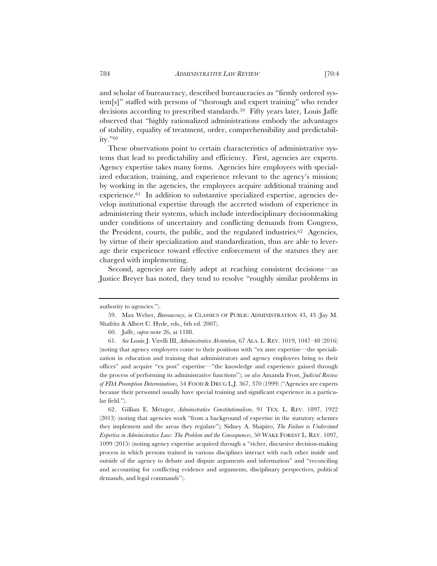and scholar of bureaucracy, described bureaucracies as "firmly ordered system[s]" staffed with persons of "thorough and expert training" who render decisions according to prescribed standards.<sup>59</sup> Fifty years later, Louis Jaffe observed that "highly rationalized administrations embody the advantages of stability, equality of treatment, order, comprehensibility and predictability."60

These observations point to certain characteristics of administrative systems that lead to predictability and efficiency. First, agencies are experts. Agency expertise takes many forms. Agencies hire employees with specialized education, training, and experience relevant to the agency's mission; by working in the agencies, the employees acquire additional training and experience.<sup>61</sup> In addition to substantive specialized expertise, agencies develop institutional expertise through the accreted wisdom of experience in administering their systems, which include interdisciplinary decisionmaking under conditions of uncertainty and conflicting demands from Congress, the President, courts, the public, and the regulated industries.<sup>62</sup> Agencies, by virtue of their specialization and standardization, thus are able to leverage their experience toward effective enforcement of the statutes they are charged with implementing.

Second, agencies are fairly adept at reaching consistent decisions—as Justice Breyer has noted, they tend to resolve "roughly similar problems in

62. Gillian E. Metzger, *Administrative Constitutionalism*, 91 TEX. L. REV. 1897, 1922 (2013) (noting that agencies work "from a background of expertise in the statutory schemes they implement and the areas they regulate"); Sidney A. Shapiro, *The Failure to Understand Expertise in Administrative Law: The Problem and the Consequences*, 50 WAKE FOREST L. REV. 1097, 1099 (2015) (noting agency expertise acquired through a "richer, discursive decision-making process in which persons trained in various disciplines interact with each other inside and outside of the agency to debate and dispute arguments and information" and "reconciling and accounting for conflicting evidence and arguments, disciplinary perspectives, political demands, and legal commands").

authority to agencies.").

<sup>59.</sup> Max Weber, *Bureaucracy*, *in* CLASSICS OF PUBLIC ADMINISTRATION 43, 43 (Jay M. Shafritz & Albert C. Hyde, eds., 6th ed. 2007).

<sup>60.</sup> Jaffe, *supra* note 26, at 1188.

<sup>61.</sup> *See* Louis J. Virelli III, *Administrative Abstention*, 67 ALA. L. REV. 1019, 1047–48 (2016) (noting that agency employees come to their positions with "ex ante expertise—the specialization in education and training that administrators and agency employees bring to their offices" and acquire "ex post" expertise—"the knowledge and experience gained through the process of performing its administrative functions"); *see also* Amanda Frost, *Judicial Review of FDA Preemption Determinations*, 54 FOOD & DRUG L.J. 367, 370 (1999) ("Agencies are experts because their personnel usually have special training and significant experience in a particular field.").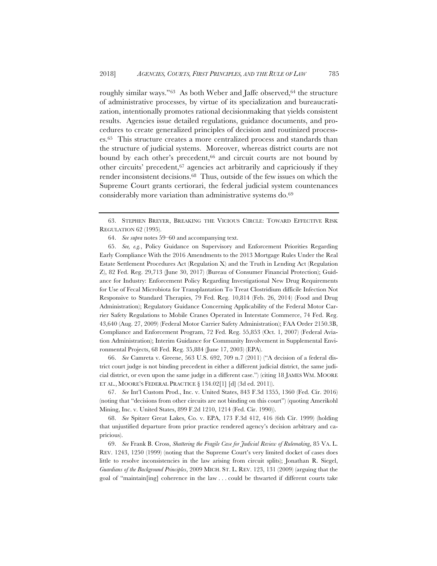roughly similar ways."<sup>63</sup> As both Weber and Jaffe observed,<sup>64</sup> the structure of administrative processes, by virtue of its specialization and bureaucratization, intentionally promotes rational decisionmaking that yields consistent results. Agencies issue detailed regulations, guidance documents, and procedures to create generalized principles of decision and routinized processes.65 This structure creates a more centralized process and standards than the structure of judicial systems. Moreover, whereas district courts are not bound by each other's precedent,<sup>66</sup> and circuit courts are not bound by other circuits' precedent,67 agencies act arbitrarily and capriciously if they render inconsistent decisions.68 Thus, outside of the few issues on which the Supreme Court grants certiorari, the federal judicial system countenances considerably more variation than administrative systems do.69

66. *See* Camreta v. Greene, 563 U.S. 692, 709 n.7 (2011) ("A decision of a federal district court judge is not binding precedent in either a different judicial district, the same judicial district, or even upon the same judge in a different case.") (citing 18 JAMES WM. MOORE ET AL., MOORE'S FEDERAL PRACTICE § 134.02[1] [d] (3d ed. 2011)).

67. *See* Int'l Custom Prod., Inc. v. United States, 843 F.3d 1355, 1360 (Fed. Cir. 2016) (noting that "decisions from other circuits are not binding on this court") (quoting Amerikohl Mining, Inc. v. United States, 899 F.2d 1210, 1214 (Fed. Cir. 1990)).

68. *See* Spitzer Great Lakes, Co. v. EPA, 173 F.3d 412, 416 (6th Cir. 1999) (holding that unjustified departure from prior practice rendered agency's decision arbitrary and capricious).

69. *See* Frank B. Cross, *Shattering the Fragile Case for Judicial Review of Rulemaking*, 85 VA. L. REV. 1243, 1250 (1999) (noting that the Supreme Court's very limited docket of cases does little to resolve inconsistencies in the law arising from circuit splits); Jonathan R. Siegel, *Guardians of the Background Principles*, 2009 MICH. ST. L. REV. 123, 131 (2009) (arguing that the goal of "maintain[ing] coherence in the law . . . could be thwarted if different courts take

<sup>63.</sup> STEPHEN BREYER, BREAKING THE VICIOUS CIRCLE: TOWARD EFFECTIVE RISK REGULATION 62 (1995).

<sup>64.</sup> *See supra* notes 59–60 and accompanying text.

<sup>65.</sup> *See, e.g.*, Policy Guidance on Supervisory and Enforcement Priorities Regarding Early Compliance With the 2016 Amendments to the 2013 Mortgage Rules Under the Real Estate Settlement Procedures Act (Regulation X) and the Truth in Lending Act (Regulation Z), 82 Fed. Reg. 29,713 (June 30, 2017) (Bureau of Consumer Financial Protection); Guidance for Industry: Enforcement Policy Regarding Investigational New Drug Requirements for Use of Fecal Microbiota for Transplantation To Treat Clostridium difficile Infection Not Responsive to Standard Therapies, 79 Fed. Reg. 10,814 (Feb. 26, 2014) (Food and Drug Administration); Regulatory Guidance Concerning Applicability of the Federal Motor Carrier Safety Regulations to Mobile Cranes Operated in Interstate Commerce, 74 Fed. Reg. 43,640 (Aug. 27, 2009) (Federal Motor Carrier Safety Administration); FAA Order 2150.3B, Compliance and Enforcement Program, 72 Fed. Reg. 55,853 (Oct. 1, 2007) (Federal Aviation Administration); Interim Guidance for Community Involvement in Supplemental Environmental Projects, 68 Fed. Reg. 35,884 (June 17, 2003) (EPA).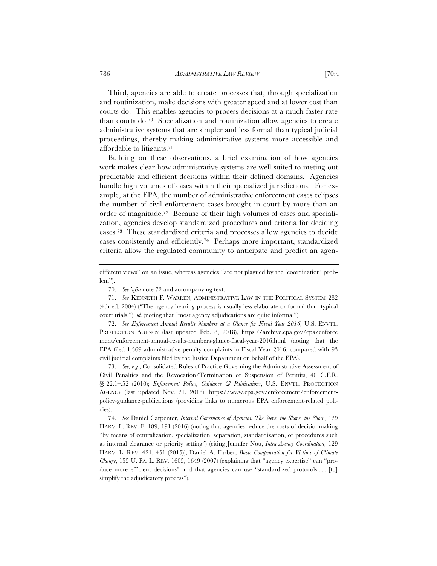Third, agencies are able to create processes that, through specialization and routinization, make decisions with greater speed and at lower cost than courts do. This enables agencies to process decisions at a much faster rate than courts do.70 Specialization and routinization allow agencies to create administrative systems that are simpler and less formal than typical judicial proceedings, thereby making administrative systems more accessible and affordable to litigants.71

Building on these observations, a brief examination of how agencies work makes clear how administrative systems are well suited to meting out predictable and efficient decisions within their defined domains. Agencies handle high volumes of cases within their specialized jurisdictions. For example, at the EPA, the number of administrative enforcement cases eclipses the number of civil enforcement cases brought in court by more than an order of magnitude.72 Because of their high volumes of cases and specialization, agencies develop standardized procedures and criteria for deciding cases.73 These standardized criteria and processes allow agencies to decide cases consistently and efficiently.74 Perhaps more important, standardized criteria allow the regulated community to anticipate and predict an agen-

71. *See* KENNETH F. WARREN, ADMINISTRATIVE LAW IN THE POLITICAL SYSTEM 282 (4th ed. 2004) ("The agency hearing process is usually less elaborate or formal than typical court trials."); *id.* (noting that "most agency adjudications are quite informal").

72. *See Enforcement Annual Results Numbers at a Glance for Fiscal Year 2016*, U.S. ENVTL. PROTECTION AGENCY (last updated Feb. 8, 2018), https://archive.epa.gov/epa/enforce ment/enforcement-annual-results-numbers-glance-fiscal-year-2016.html (noting that the EPA filed 1,369 administrative penalty complaints in Fiscal Year 2016, compared with 93 civil judicial complaints filed by the Justice Department on behalf of the EPA).

73. *See, e.g.*, Consolidated Rules of Practice Governing the Administrative Assessment of Civil Penalties and the Revocation/Termination or Suspension of Permits, 40 C.F.R. §§ 22.1-.52 (2010); *Enforcement Policy, Guidance & Publications*, U.S. ENVTL. PROTECTION AGENCY (last updated Nov. 21, 2018), https://www.epa.gov/enforcement/enforcementpolicy-guidance-publications (providing links to numerous EPA enforcement-related policies).

74. *See* Daniel Carpenter, *Internal Governance of Agencies: The Sieve, the Shove, the Show*, 129 HARV. L. REV. F. 189, 191 (2016) (noting that agencies reduce the costs of decisionmaking "by means of centralization, specialization, separation, standardization, or procedures such as internal clearance or priority setting") (citing Jennifer Nou, *Intra-Agency Coordination*, 129 HARV. L. REV. 421, 451 (2015)); Daniel A. Farber, *Basic Compensation for Victims of Climate Change*, 155 U. PA. L. REV. 1605, 1649 (2007) (explaining that "agency expertise" can "produce more efficient decisions" and that agencies can use "standardized protocols . . . [to] simplify the adjudicatory process").

different views" on an issue, whereas agencies "are not plagued by the 'coordination' problem").

<sup>70.</sup> *See infra* note 72 and accompanying text.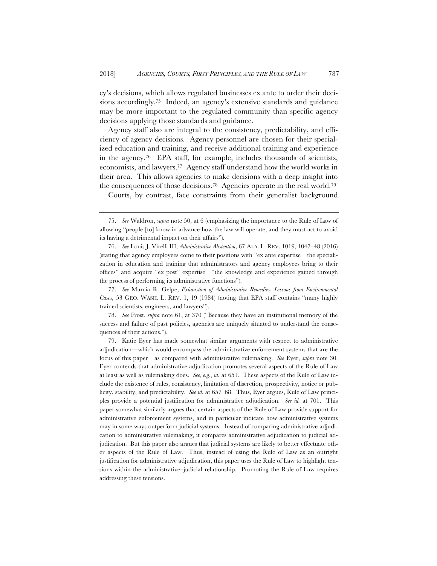cy's decisions, which allows regulated businesses ex ante to order their decisions accordingly.75 Indeed, an agency's extensive standards and guidance may be more important to the regulated community than specific agency decisions applying those standards and guidance.

Agency staff also are integral to the consistency, predictability, and efficiency of agency decisions. Agency personnel are chosen for their specialized education and training, and receive additional training and experience in the agency.<sup>76</sup> EPA staff, for example, includes thousands of scientists, economists, and lawyers.77 Agency staff understand how the world works in their area. This allows agencies to make decisions with a deep insight into the consequences of those decisions.78 Agencies operate in the real world.79

Courts, by contrast, face constraints from their generalist background

77. *See* Marcia R. Gelpe, *Exhaustion of Administrative Remedies: Lessons from Environmental Cases*, 53 GEO. WASH. L. REV. 1, 19 (1984) (noting that EPA staff contains "many highly trained scientists, engineers, and lawyers").

78. *See* Frost, *supra* note 61, at 370 ("Because they have an institutional memory of the success and failure of past policies, agencies are uniquely situated to understand the consequences of their actions.").

79. Katie Eyer has made somewhat similar arguments with respect to administrative adjudication—which would encompass the administrative enforcement systems that are the focus of this paper—as compared with administrative rulemaking. *See* Eyer, *supra* note 30. Eyer contends that administrative adjudication promotes several aspects of the Rule of Law at least as well as rulemaking does. *See, e.g.*, *id.* at 651. These aspects of the Rule of Law include the existence of rules, consistency, limitation of discretion, prospectivity, notice or publicity, stability, and predictability. *See id.* at 657–68. Thus, Eyer argues, Rule of Law principles provide a potential justification for administrative adjudication. *See id.* at 701. This paper somewhat similarly argues that certain aspects of the Rule of Law provide support for administrative enforcement systems, and in particular indicate how administrative systems may in some ways outperform judicial systems. Instead of comparing administrative adjudication to administrative rulemaking, it compares administrative adjudication to judicial adjudication. But this paper also argues that judicial systems are likely to better effectuate other aspects of the Rule of Law. Thus, instead of using the Rule of Law as an outright justification for administrative adjudication, this paper uses the Rule of Law to highlight tensions within the administrative–judicial relationship. Promoting the Rule of Law requires addressing these tensions.

<sup>75.</sup> *See* Waldron, *supra* note 50, at 6 (emphasizing the importance to the Rule of Law of allowing "people [to] know in advance how the law will operate, and they must act to avoid its having a detrimental impact on their affairs").

<sup>76.</sup> *See* Louis J. Virelli III, *Administrative Abstention*, 67 ALA. L. REV. 1019, 1047–48 (2016) (stating that agency employees come to their positions with "ex ante expertise—the specialization in education and training that administrators and agency employees bring to their offices" and acquire "ex post" expertise—"the knowledge and experience gained through the process of performing its administrative functions").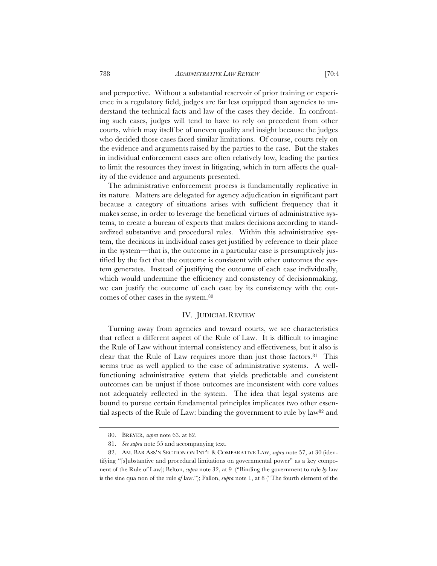and perspective. Without a substantial reservoir of prior training or experience in a regulatory field, judges are far less equipped than agencies to understand the technical facts and law of the cases they decide. In confronting such cases, judges will tend to have to rely on precedent from other courts, which may itself be of uneven quality and insight because the judges who decided those cases faced similar limitations. Of course, courts rely on the evidence and arguments raised by the parties to the case. But the stakes in individual enforcement cases are often relatively low, leading the parties to limit the resources they invest in litigating, which in turn affects the quality of the evidence and arguments presented.

The administrative enforcement process is fundamentally replicative in its nature. Matters are delegated for agency adjudication in significant part because a category of situations arises with sufficient frequency that it makes sense, in order to leverage the beneficial virtues of administrative systems, to create a bureau of experts that makes decisions according to standardized substantive and procedural rules. Within this administrative system, the decisions in individual cases get justified by reference to their place in the system—that is, the outcome in a particular case is presumptively justified by the fact that the outcome is consistent with other outcomes the system generates. Instead of justifying the outcome of each case individually, which would undermine the efficiency and consistency of decisionmaking, we can justify the outcome of each case by its consistency with the outcomes of other cases in the system.80

# IV. JUDICIAL REVIEW

Turning away from agencies and toward courts, we see characteristics that reflect a different aspect of the Rule of Law. It is difficult to imagine the Rule of Law without internal consistency and effectiveness, but it also is clear that the Rule of Law requires more than just those factors.<sup>81</sup> This seems true as well applied to the case of administrative systems. A wellfunctioning administrative system that yields predictable and consistent outcomes can be unjust if those outcomes are inconsistent with core values not adequately reflected in the system. The idea that legal systems are bound to pursue certain fundamental principles implicates two other essential aspects of the Rule of Law: binding the government to rule by law82 and

<sup>80.</sup> BREYER, *supra* note 63, at 62.

<sup>81.</sup> *See supra* note 55 and accompanying text.

<sup>82.</sup> AM. BAR ASS'N SECTION ON INT'L & COMPARATIVE LAW, *supra* note 57, at 30 (identifying "[s]ubstantive and procedural limitations on governmental power" as a key component of the Rule of Law); Belton, *supra* note 32, at 9 ("Binding the government to rule *by* law is the sine qua non of the rule *of* law."); Fallon, *supra* note 1, at 8 ("The fourth element of the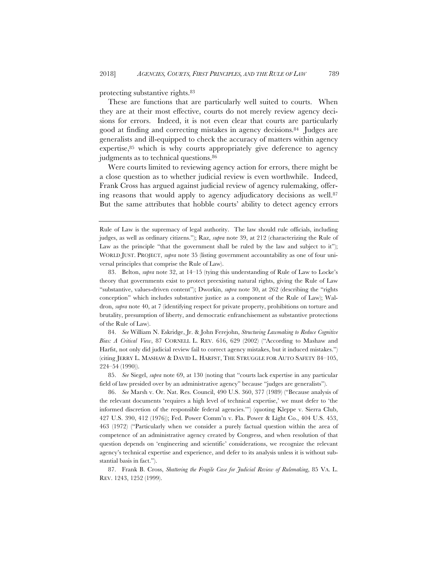#### protecting substantive rights.83

These are functions that are particularly well suited to courts. When they are at their most effective, courts do not merely review agency decisions for errors. Indeed, it is not even clear that courts are particularly good at finding and correcting mistakes in agency decisions.84 Judges are generalists and ill-equipped to check the accuracy of matters within agency expertise,<sup>85</sup> which is why courts appropriately give deference to agency judgments as to technical questions.<sup>86</sup>

Were courts limited to reviewing agency action for errors, there might be a close question as to whether judicial review is even worthwhile. Indeed, Frank Cross has argued against judicial review of agency rulemaking, offering reasons that would apply to agency adjudicatory decisions as well.87 But the same attributes that hobble courts' ability to detect agency errors

84. *See* William N. Eskridge, Jr. & John Ferejohn, *Structuring Lawmaking to Reduce Cognitive Bias: A Critical View*, 87 CORNELL L. REV. 616, 629 (2002) ("According to Mashaw and Harfst, not only did judicial review fail to correct agency mistakes, but it induced mistakes.") (citing JERRY L. MASHAW & DAVID L. HARFST, THE STRUGGLE FOR AUTO SAFETY 84–105, 224–54 (1990)).

85. *See* Siegel, *supra* note 69, at 130 (noting that "courts lack expertise in any particular field of law presided over by an administrative agency" because "judges are generalists").

86. *See* Marsh v. Or. Nat. Res. Council, 490 U.S. 360, 377 (1989) ("Because analysis of the relevant documents 'requires a high level of technical expertise,' we must defer to 'the informed discretion of the responsible federal agencies.'") (quoting Kleppe v. Sierra Club, 427 U.S. 390, 412 (1976)); Fed. Power Comm'n v. Fla. Power & Light Co., 404 U.S. 453, 463 (1972) ("Particularly when we consider a purely factual question within the area of competence of an administrative agency created by Congress, and when resolution of that question depends on 'engineering and scientific' considerations, we recognize the relevant agency's technical expertise and experience, and defer to its analysis unless it is without substantial basis in fact.").

87. Frank B. Cross, *Shattering the Fragile Case for Judicial Review of Rulemaking*, 85 VA. L. REV. 1243, 1252 (1999).

Rule of Law is the supremacy of legal authority. The law should rule officials, including judges, as well as ordinary citizens."); Raz, *supra* note 39, at 212 (characterizing the Rule of Law as the principle "that the government shall be ruled by the law and subject to it"); WORLD JUST. PROJECT, *supra* note 35 (listing government accountability as one of four universal principles that comprise the Rule of Law).

<sup>83.</sup> Belton, *supra* note 32, at 14–15 (tying this understanding of Rule of Law to Locke's theory that governments exist to protect preexisting natural rights, giving the Rule of Law "substantive, values-driven content"); Dworkin, *supra* note 30, at 262 (describing the "rights conception" which includes substantive justice as a component of the Rule of Law); Waldron, *supra* note 40, at 7 (identifying respect for private property, prohibitions on torture and brutality, presumption of liberty, and democratic enfranchisement as substantive protections of the Rule of Law).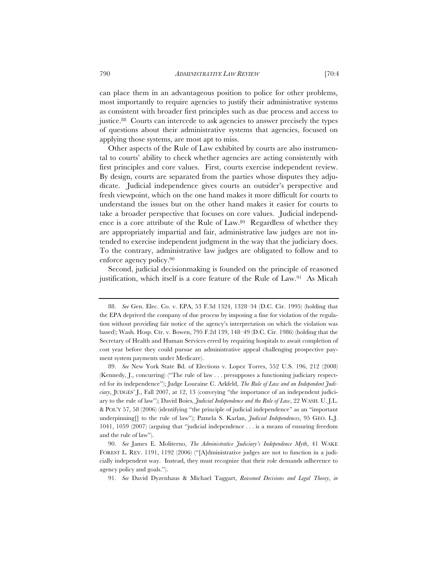can place them in an advantageous position to police for other problems, most importantly to require agencies to justify their administrative systems as consistent with broader first principles such as due process and access to justice.88 Courts can intercede to ask agencies to answer precisely the types of questions about their administrative systems that agencies, focused on applying those systems, are most apt to miss.

Other aspects of the Rule of Law exhibited by courts are also instrumental to courts' ability to check whether agencies are acting consistently with first principles and core values. First, courts exercise independent review. By design, courts are separated from the parties whose disputes they adjudicate. Judicial independence gives courts an outsider's perspective and fresh viewpoint, which on the one hand makes it more difficult for courts to understand the issues but on the other hand makes it easier for courts to take a broader perspective that focuses on core values. Judicial independence is a core attribute of the Rule of Law.89 Regardless of whether they are appropriately impartial and fair, administrative law judges are not intended to exercise independent judgment in the way that the judiciary does. To the contrary, administrative law judges are obligated to follow and to enforce agency policy.90

Second, judicial decisionmaking is founded on the principle of reasoned justification, which itself is a core feature of the Rule of Law.91 As Micah

<sup>88.</sup> *See* Gen. Elec. Co. v. EPA, 53 F.3d 1324, 1328–34 (D.C. Cir. 1995) (holding that the EPA deprived the company of due process by imposing a fine for violation of the regulation without providing fair notice of the agency's interpretation on which the violation was based); Wash. Hosp. Ctr. v. Bowen, 795 F.2d 139, 148–49 (D.C. Cir. 1986) (holding that the Secretary of Health and Human Services erred by requiring hospitals to await completion of cost year before they could pursue an administrative appeal challenging prospective payment system payments under Medicare).

<sup>89.</sup> *See* New York State Bd. of Elections v. Lopez Torres, 552 U.S. 196, 212 (2008) (Kennedy, J., concurring) ("The rule of law . . . presupposes a functioning judiciary respected for its independence"); Judge Louraine C. Arkfeld, *The Rule of Law and an Independent Judiciary*, JUDGES' J., Fall 2007, at 12, 13 (conveying "the importance of an independent judiciary to the rule of law"); David Boies, *Judicial Independence and the Rule of Law*, 22 WASH. U. J.L. & POL'Y 57, 58 (2006) (identifying "the principle of judicial independence" as an "important underpinning<sup>[]</sup> to the rule of law"); Pamela S. Karlan, *Judicial Independences*, 95 GEO. L.J. 1041, 1059 (2007) (arguing that "judicial independence . . . is a means of ensuring freedom and the rule of law").

<sup>90.</sup> *See* James E. Moliterno, *The Administrative Judiciary's Independence Myth*, 41 WAKE FOREST L. REV. 1191, 1192 (2006) ("[A]dministrative judges are not to function in a judicially independent way. Instead, they must recognize that their role demands adherence to agency policy and goals.").

<sup>91.</sup> *See* David Dyzenhaus & Michael Taggart, *Reasoned Decisions and Legal Theory*, *in*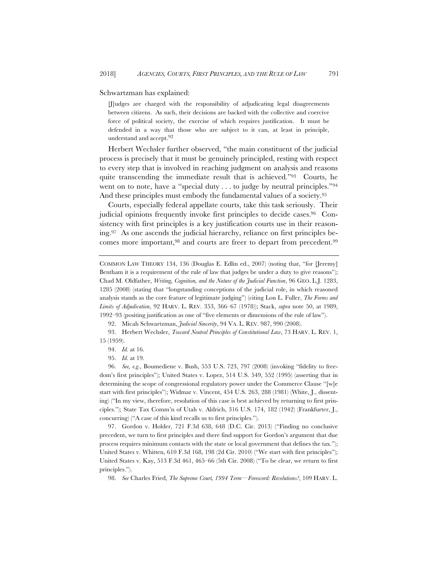Schwartzman has explained:

[J]udges are charged with the responsibility of adjudicating legal disagreements between citizens. As such, their decisions are backed with the collective and coercive force of political society, the exercise of which requires justification. It must be defended in a way that those who are subject to it can, at least in principle, understand and accept.92

Herbert Wechsler further observed, "the main constituent of the judicial process is precisely that it must be genuinely principled, resting with respect to every step that is involved in reaching judgment on analysis and reasons quite transcending the immediate result that is achieved."93 Courts, he went on to note, have a "special duty . . . to judge by neutral principles."94 And these principles must embody the fundamental values of a society.95

Courts, especially federal appellate courts, take this task seriously. Their judicial opinions frequently invoke first principles to decide cases.96 Consistency with first principles is a key justification courts use in their reasoning.97 As one ascends the judicial hierarchy, reliance on first principles becomes more important,98 and courts are freer to depart from precedent.99

92. Micah Schwartzman, *Judicial Sincerity*, 94 VA. L. REV. 987, 990 (2008).

93. Herbert Wechsler, *Toward Neutral Principles of Constitutional Law*, 73 HARV. L. REV. 1, 15 (1959).

95. *Id.* at 19.

96. *See, e.g.*, Boumediene v. Bush, 553 U.S. 723, 797 (2008) (invoking "fidelity to freedom's first principles"); United States v. Lopez, 514 U.S. 549, 552 (1995) (asserting that in determining the scope of congressional regulatory power under the Commerce Clause "[w]e start with first principles"); Widmar v. Vincent, 454 U.S. 263, 288 (1981) (White, J., dissenting) ("In my view, therefore, resolution of this case is best achieved by returning to first principles."); State Tax Comm'n of Utah v. Aldrich, 316 U.S. 174, 182 (1942) (Frankfurter, J., concurring) ("A case of this kind recalls us to first principles.").

97. Gordon v. Holder, 721 F.3d 638, 648 (D.C. Cir. 2013) ("Finding no conclusive precedent, we turn to first principles and there find support for Gordon's argument that due process requires minimum contacts with the state or local government that defines the tax."); United States v. Whitten, 610 F.3d 168, 198 (2d Cir. 2010) ("We start with first principles"); United States v. Kay, 513 F.3d 461, 465–66 (5th Cir. 2008) ("To be clear, we return to first principles.").

98. *See* Charles Fried, *The Supreme Court, 1994 Term—Foreword: Revolutions?*, 109 HARV. L.

COMMON LAW THEORY 134, 136 (Douglas E. Edlin ed., 2007) (noting that, "for [Jeremy] Bentham it is a requirement of the rule of law that judges be under a duty to give reasons"); Chad M. Oldfather, *Writing, Cognition, and the Nature of the Judicial Function*, 96 GEO. L.J. 1283, 1285 (2008) (stating that "longstanding conceptions of the judicial role, in which reasoned analysis stands as the core feature of legitimate judging") (citing Lon L. Fuller, *The Forms and Limits of Adjudication*, 92 HARV. L. REV. 353, 366–67 (1978)); Stack, *supra* note 50, at 1989, 1992–93 (positing justification as one of "five elements or dimensions of the rule of law").

<sup>94.</sup> *Id.* at 16.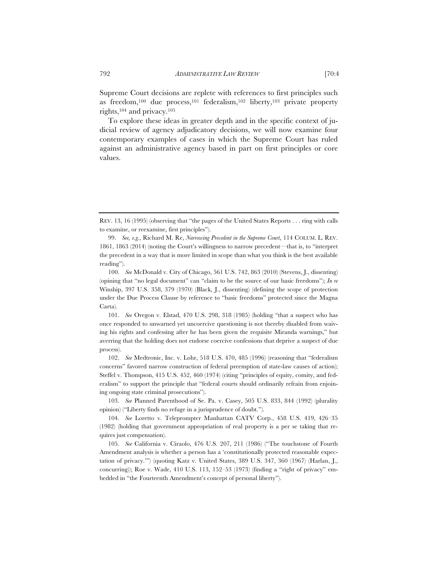Supreme Court decisions are replete with references to first principles such as freedom,100 due process,101 federalism,102 liberty,103 private property rights,104 and privacy.105

To explore these ideas in greater depth and in the specific context of judicial review of agency adjudicatory decisions, we will now examine four contemporary examples of cases in which the Supreme Court has ruled against an administrative agency based in part on first principles or core values.

101. *See* Oregon v. Elstad, 470 U.S. 298, 318 (1985) (holding "that a suspect who has once responded to unwarned yet uncoercive questioning is not thereby disabled from waiving his rights and confessing after he has been given the requisite Miranda warnings," but averring that the holding does not endorse coercive confessions that deprive a suspect of due process).

102. *See* Medtronic, Inc. v. Lohr, 518 U.S. 470, 485 (1996) (reasoning that "federalism concerns" favored narrow construction of federal preemption of state-law causes of action); Steffel v. Thompson, 415 U.S. 452, 460 (1974) (citing "principles of equity, comity, and federalism" to support the principle that "federal courts should ordinarily refrain from enjoining ongoing state criminal prosecutions").

103. *See* Planned Parenthood of Se. Pa. v. Casey, 505 U.S. 833, 844 (1992) (plurality opinion) ("Liberty finds no refuge in a jurisprudence of doubt.").

104. *See* Loretto v. Teleprompter Manhattan CATV Corp., 458 U.S. 419, 426–35 (1982) (holding that government appropriation of real property is a per se taking that requires just compensation).

105. *See* California v. Ciraolo, 476 U.S. 207, 211 (1986) ("The touchstone of Fourth Amendment analysis is whether a person has a 'constitutionally protected reasonable expectation of privacy.'") (quoting Katz v. United States, 389 U.S. 347, 360 (1967) (Harlan, J., concurring)); Roe v. Wade, 410 U.S. 113, 152–53 (1973) (finding a "right of privacy" embedded in "the Fourteenth Amendment's concept of personal liberty").

REV. 13, 16 (1995) (observing that "the pages of the United States Reports . . . ring with calls to examine, or reexamine, first principles").

<sup>99.</sup> *See, e.g.*, Richard M. Re, *Narrowing Precedent in the Supreme Court*, 114 COLUM. L. REV. 1861, 1863 (2014) (noting the Court's willingness to narrow precedent—that is, to "interpret the precedent in a way that is more limited in scope than what you think is the best available reading").

<sup>100.</sup> *See* McDonald v. City of Chicago, 561 U.S. 742, 863 (2010) (Stevens, J., dissenting) (opining that "no legal document" can "claim to be the source of our basic freedoms"); *In re* Winship, 397 U.S. 358, 379 (1970) (Black, J., dissenting) (defining the scope of protection under the Due Process Clause by reference to "basic freedoms" protected since the Magna Carta).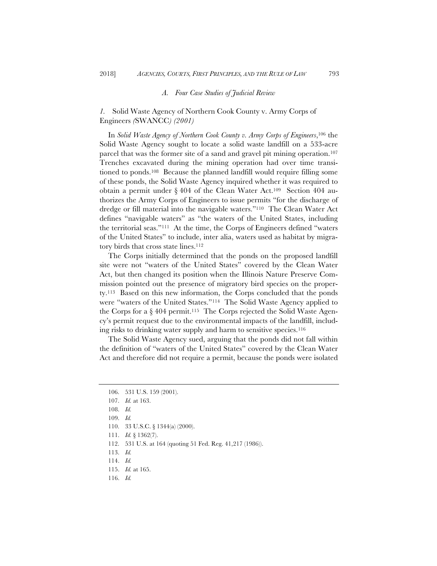# *A. Four Case Studies of Judicial Review*

*1.* Solid Waste Agency of Northern Cook County v. Army Corps of Engineers *(*SWANCC*) (2001)* 

In *Solid Waste Agency of Northern Cook County v. Army Corps of Engineers*,106 the Solid Waste Agency sought to locate a solid waste landfill on a 533-acre parcel that was the former site of a sand and gravel pit mining operation.107 Trenches excavated during the mining operation had over time transitioned to ponds.108 Because the planned landfill would require filling some of these ponds, the Solid Waste Agency inquired whether it was required to obtain a permit under § 404 of the Clean Water Act.109 Section 404 authorizes the Army Corps of Engineers to issue permits "for the discharge of dredge or fill material into the navigable waters."110 The Clean Water Act defines "navigable waters" as "the waters of the United States, including the territorial seas."111 At the time, the Corps of Engineers defined "waters of the United States" to include, inter alia, waters used as habitat by migratory birds that cross state lines.<sup>112</sup>

The Corps initially determined that the ponds on the proposed landfill site were not "waters of the United States" covered by the Clean Water Act, but then changed its position when the Illinois Nature Preserve Commission pointed out the presence of migratory bird species on the property.113 Based on this new information, the Corps concluded that the ponds were "waters of the United States."114 The Solid Waste Agency applied to the Corps for a  $\S 404$  permit.<sup>115</sup> The Corps rejected the Solid Waste Agency's permit request due to the environmental impacts of the landfill, including risks to drinking water supply and harm to sensitive species.116

The Solid Waste Agency sued, arguing that the ponds did not fall within the definition of "waters of the United States" covered by the Clean Water Act and therefore did not require a permit, because the ponds were isolated

111. *Id.* § 1362(7).

116. *Id.*

<sup>106. 531</sup> U.S. 159 (2001).

<sup>107.</sup> *Id.* at 163.

<sup>108.</sup> *Id.*

<sup>109.</sup> *Id.*

<sup>110. 33</sup> U.S.C. § 1344(a) (2000).

<sup>112. 531</sup> U.S. at 164 (quoting 51 Fed. Reg. 41,217 (1986)).

<sup>113.</sup> *Id.*

<sup>114.</sup> *Id.*

<sup>115.</sup> *Id.* at 165.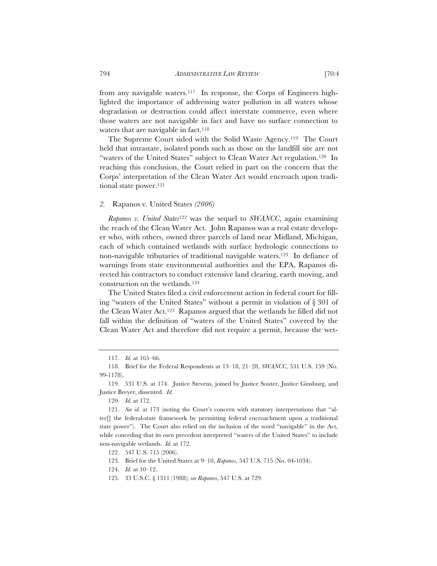from any navigable waters.117 In response, the Corps of Engineers highlighted the importance of addressing water pollution in all waters whose degradation or destruction could affect interstate commerce, even where those waters are not navigable in fact and have no surface connection to waters that are navigable in fact.<sup>118</sup>

The Supreme Court sided with the Solid Waste Agency.119 The Court held that intrastate, isolated ponds such as those on the landfill site are not "waters of the United States" subject to Clean Water Act regulation.120 In reaching this conclusion, the Court relied in part on the concern that the Corps' interpretation of the Clean Water Act would encroach upon traditional state power.121

# *2.* Rapanos v. United States *(2006)*

*Rapanos v. United States*122 was the sequel to *SWANCC*, again examining the reach of the Clean Water Act. John Rapanos was a real estate developer who, with others, owned three parcels of land near Midland, Michigan, each of which contained wetlands with surface hydrologic connections to non-navigable tributaries of traditional navigable waters.123 In defiance of warnings from state environmental authorities and the EPA, Rapanos directed his contractors to conduct extensive land clearing, earth moving, and construction on the wetlands.124

The United States filed a civil enforcement action in federal court for filling "waters of the United States" without a permit in violation of § 301 of the Clean Water Act.125 Rapanos argued that the wetlands he filled did not fall within the definition of "waters of the United States" covered by the Clean Water Act and therefore did not require a permit, because the wet-

125. 33 U.S.C. § 1311 (1988); *see Rapanos*, 547 U.S. at 729.

<sup>117.</sup> *Id.* at 165–66.

<sup>118.</sup> Brief for the Federal Respondents at 13–18, 21–28, *SWANCC*, 531 U.S. 159 (No. 99-1178).

<sup>119. 531</sup> U.S. at 174. Justice Stevens, joined by Justice Souter, Justice Ginsburg, and Justice Breyer, dissented. *Id.*

<sup>120.</sup> *Id.* at 172.

<sup>121.</sup> *See id.* at 173 (noting the Court's concern with statutory interpretations that "alter[] the federal-state framework by permitting federal encroachment upon a traditional state power"). The Court also relied on the inclusion of the word "navigable" in the Act, while conceding that its own precedent interpreted "waters of the United States" to include non-navigable wetlands. *Id.* at 172.

<sup>122. 547</sup> U.S. 715 (2006).

<sup>123.</sup> Brief for the United States at 9–10, *Rapanos*, 547 U.S. 715 (No. 04-1034).

<sup>124.</sup> *Id.* at 10–12.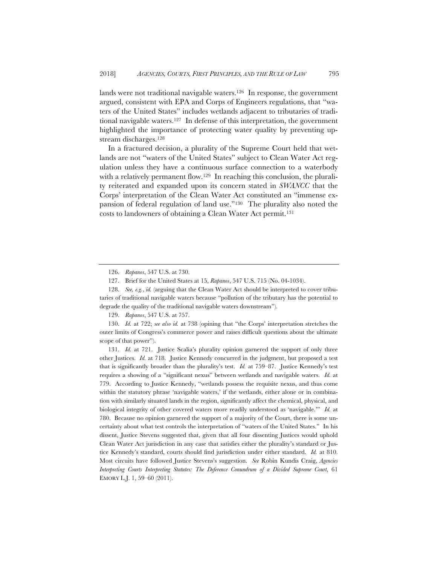lands were not traditional navigable waters.126 In response, the government argued, consistent with EPA and Corps of Engineers regulations, that "waters of the United States" includes wetlands adjacent to tributaries of traditional navigable waters.<sup>127</sup> In defense of this interpretation, the government highlighted the importance of protecting water quality by preventing upstream discharges.128

In a fractured decision, a plurality of the Supreme Court held that wetlands are not "waters of the United States" subject to Clean Water Act regulation unless they have a continuous surface connection to a waterbody with a relatively permanent flow.<sup>129</sup> In reaching this conclusion, the plurality reiterated and expanded upon its concern stated in *SWANCC* that the Corps' interpretation of the Clean Water Act constituted an "immense expansion of federal regulation of land use."130 The plurality also noted the costs to landowners of obtaining a Clean Water Act permit.131

<sup>126.</sup> *Rapanos*, 547 U.S. at 730.

<sup>127.</sup> Brief for the United States at 15, *Rapanos*, 547 U.S. 715 (No. 04-1034).

<sup>128.</sup> *See, e.g.*, *id.* (arguing that the Clean Water Act should be interpreted to cover tributaries of traditional navigable waters because "pollution of the tributary has the potential to degrade the quality of the traditional navigable waters downstream").

<sup>129.</sup> *Rapanos*, 547 U.S. at 757.

<sup>130.</sup> *Id.* at 722; *see also id.* at 738 (opining that "the Corps' interpretation stretches the outer limits of Congress's commerce power and raises difficult questions about the ultimate scope of that power").

<sup>131.</sup> *Id.* at 721. Justice Scalia's plurality opinion garnered the support of only three other Justices. *Id.* at 718. Justice Kennedy concurred in the judgment, but proposed a test that is significantly broader than the plurality's test. *Id.* at 759–87. Justice Kennedy's test requires a showing of a "significant nexus" between wetlands and navigable waters. *Id.* at 779. According to Justice Kennedy, "wetlands possess the requisite nexus, and thus come within the statutory phrase 'navigable waters,' if the wetlands, either alone or in combination with similarly situated lands in the region, significantly affect the chemical, physical, and biological integrity of other covered waters more readily understood as 'navigable.'" *Id.* at 780. Because no opinion garnered the support of a majority of the Court, there is some uncertainty about what test controls the interpretation of "waters of the United States." In his dissent, Justice Stevens suggested that, given that all four dissenting Justices would uphold Clean Water Act jurisdiction in any case that satisfies either the plurality's standard or Justice Kennedy's standard, courts should find jurisdiction under either standard. *Id.* at 810. Most circuits have followed Justice Stevens's suggestion. *See* Robin Kundis Craig, *Agencies Interpreting Courts Interpreting Statutes: The Deference Conundrum of a Divided Supreme Court*, 61 EMORY L.J. 1, 59–60 (2011).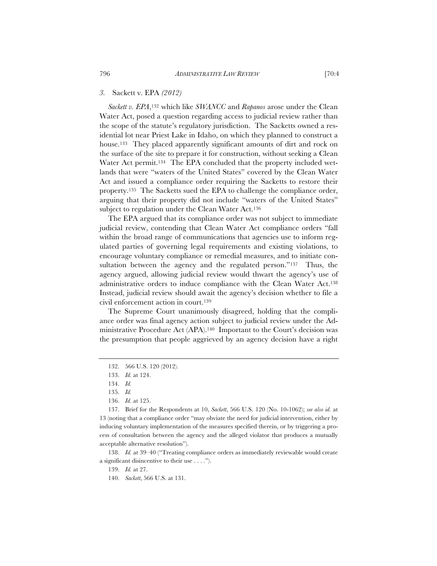# *3.* Sackett v. EPA *(2012)*

*Sackett v. EPA*,132 which like *SWANCC* and *Rapanos* arose under the Clean Water Act, posed a question regarding access to judicial review rather than the scope of the statute's regulatory jurisdiction. The Sacketts owned a residential lot near Priest Lake in Idaho, on which they planned to construct a house.133 They placed apparently significant amounts of dirt and rock on the surface of the site to prepare it for construction, without seeking a Clean Water Act permit.<sup>134</sup> The EPA concluded that the property included wetlands that were "waters of the United States" covered by the Clean Water Act and issued a compliance order requiring the Sacketts to restore their property.135 The Sacketts sued the EPA to challenge the compliance order, arguing that their property did not include "waters of the United States" subject to regulation under the Clean Water Act.<sup>136</sup>

The EPA argued that its compliance order was not subject to immediate judicial review, contending that Clean Water Act compliance orders "fall within the broad range of communications that agencies use to inform regulated parties of governing legal requirements and existing violations, to encourage voluntary compliance or remedial measures, and to initiate consultation between the agency and the regulated person."<sup>137</sup> Thus, the agency argued, allowing judicial review would thwart the agency's use of administrative orders to induce compliance with the Clean Water Act.138 Instead, judicial review should await the agency's decision whether to file a civil enforcement action in court.139

The Supreme Court unanimously disagreed, holding that the compliance order was final agency action subject to judicial review under the Administrative Procedure Act (APA).140 Important to the Court's decision was the presumption that people aggrieved by an agency decision have a right

138. *Id.* at 39–40 ("Treating compliance orders as immediately reviewable would create a significant disincentive to their use . . . .").

<sup>132. 566</sup> U.S. 120 (2012).

<sup>133.</sup> *Id.* at 124.

<sup>134.</sup> *Id.*

<sup>135.</sup> *Id.*

<sup>136.</sup> *Id.* at 125.

<sup>137.</sup> Brief for the Respondents at 10, *Sackett*, 566 U.S. 120 (No. 10-1062); *see also id.* at 13 (noting that a compliance order "may obviate the need for judicial intervention, either by inducing voluntary implementation of the measures specified therein, or by triggering a process of consultation between the agency and the alleged violator that produces a mutually acceptable alternative resolution").

<sup>139.</sup> *Id.* at 27.

<sup>140.</sup> *Sackett*, 566 U.S. at 131.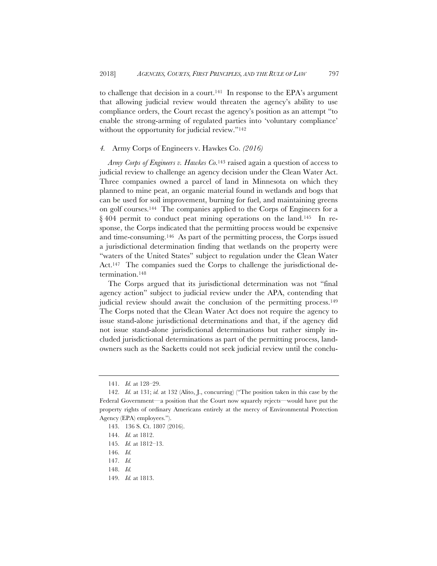to challenge that decision in a court.141 In response to the EPA's argument that allowing judicial review would threaten the agency's ability to use compliance orders, the Court recast the agency's position as an attempt "to enable the strong-arming of regulated parties into 'voluntary compliance' without the opportunity for judicial review."<sup>142</sup>

# *4.* Army Corps of Engineers v. Hawkes Co. *(2016)*

*Army Corps of Engineers v. Hawkes Co.*143 raised again a question of access to judicial review to challenge an agency decision under the Clean Water Act. Three companies owned a parcel of land in Minnesota on which they planned to mine peat, an organic material found in wetlands and bogs that can be used for soil improvement, burning for fuel, and maintaining greens on golf courses.144 The companies applied to the Corps of Engineers for a § 404 permit to conduct peat mining operations on the land.<sup>145</sup> In response, the Corps indicated that the permitting process would be expensive and time-consuming.146 As part of the permitting process, the Corps issued a jurisdictional determination finding that wetlands on the property were "waters of the United States" subject to regulation under the Clean Water Act.<sup>147</sup> The companies sued the Corps to challenge the jurisdictional determination.148

The Corps argued that its jurisdictional determination was not "final agency action" subject to judicial review under the APA, contending that judicial review should await the conclusion of the permitting process.<sup>149</sup> The Corps noted that the Clean Water Act does not require the agency to issue stand-alone jurisdictional determinations and that, if the agency did not issue stand-alone jurisdictional determinations but rather simply included jurisdictional determinations as part of the permitting process, landowners such as the Sacketts could not seek judicial review until the conclu-

<sup>141.</sup> *Id.* at 128–29.

<sup>142.</sup> *Id.* at 131; *id.* at 132 (Alito, J., concurring) ("The position taken in this case by the Federal Government—a position that the Court now squarely rejects—would have put the property rights of ordinary Americans entirely at the mercy of Environmental Protection Agency (EPA) employees.").

<sup>143. 136</sup> S. Ct. 1807 (2016).

<sup>144.</sup> *Id.* at 1812.

<sup>145.</sup> *Id.* at 1812–13.

<sup>146.</sup> *Id.*

<sup>147.</sup> *Id.*

<sup>148.</sup> *Id.*

<sup>149.</sup> *Id.* at 1813.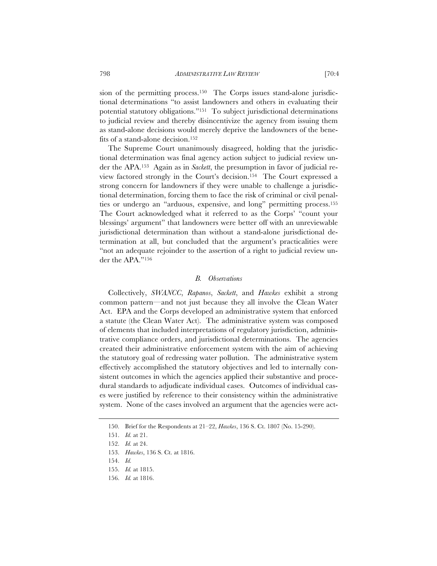sion of the permitting process.<sup>150</sup> The Corps issues stand-alone jurisdictional determinations "to assist landowners and others in evaluating their potential statutory obligations."151 To subject jurisdictional determinations to judicial review and thereby disincentivize the agency from issuing them as stand-alone decisions would merely deprive the landowners of the benefits of a stand-alone decision.152

The Supreme Court unanimously disagreed, holding that the jurisdictional determination was final agency action subject to judicial review under the APA.153 Again as in *Sackett*, the presumption in favor of judicial review factored strongly in the Court's decision.154 The Court expressed a strong concern for landowners if they were unable to challenge a jurisdictional determination, forcing them to face the risk of criminal or civil penalties or undergo an "arduous, expensive, and long" permitting process.155 The Court acknowledged what it referred to as the Corps' "count your blessings' argument" that landowners were better off with an unreviewable jurisdictional determination than without a stand-alone jurisdictional determination at all, but concluded that the argument's practicalities were "not an adequate rejoinder to the assertion of a right to judicial review under the APA."156

#### *B. Observations*

Collectively, *SWANCC*, *Rapanos*, *Sackett*, and *Hawkes* exhibit a strong common pattern—and not just because they all involve the Clean Water Act. EPA and the Corps developed an administrative system that enforced a statute (the Clean Water Act). The administrative system was composed of elements that included interpretations of regulatory jurisdiction, administrative compliance orders, and jurisdictional determinations. The agencies created their administrative enforcement system with the aim of achieving the statutory goal of redressing water pollution. The administrative system effectively accomplished the statutory objectives and led to internally consistent outcomes in which the agencies applied their substantive and procedural standards to adjudicate individual cases. Outcomes of individual cases were justified by reference to their consistency within the administrative system. None of the cases involved an argument that the agencies were act-

<sup>150.</sup> Brief for the Respondents at 21–22, *Hawkes*, 136 S. Ct. 1807 (No. 15-290).

<sup>151.</sup> *Id.* at 21.

<sup>152.</sup> *Id.* at 24.

<sup>153.</sup> *Hawkes*, 136 S. Ct. at 1816.

<sup>154.</sup> *Id.*

<sup>155.</sup> *Id.* at 1815.

<sup>156.</sup> *Id.* at 1816.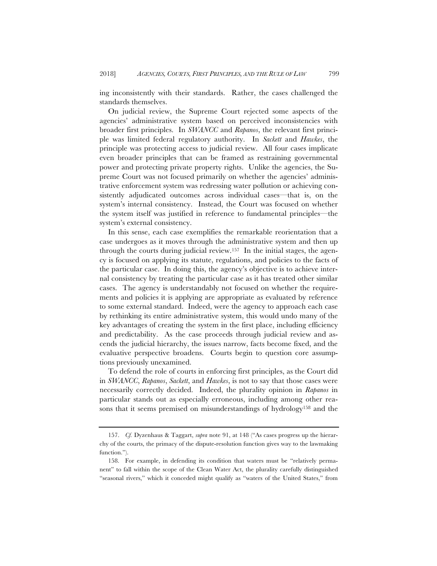ing inconsistently with their standards. Rather, the cases challenged the standards themselves.

On judicial review, the Supreme Court rejected some aspects of the agencies' administrative system based on perceived inconsistencies with broader first principles. In *SWANCC* and *Rapanos*, the relevant first principle was limited federal regulatory authority. In *Sackett* and *Hawkes*, the principle was protecting access to judicial review. All four cases implicate even broader principles that can be framed as restraining governmental power and protecting private property rights. Unlike the agencies, the Supreme Court was not focused primarily on whether the agencies' administrative enforcement system was redressing water pollution or achieving consistently adjudicated outcomes across individual cases—that is, on the system's internal consistency. Instead, the Court was focused on whether the system itself was justified in reference to fundamental principles—the system's external consistency.

In this sense, each case exemplifies the remarkable reorientation that a case undergoes as it moves through the administrative system and then up through the courts during judicial review.157 In the initial stages, the agency is focused on applying its statute, regulations, and policies to the facts of the particular case. In doing this, the agency's objective is to achieve internal consistency by treating the particular case as it has treated other similar cases. The agency is understandably not focused on whether the requirements and policies it is applying are appropriate as evaluated by reference to some external standard. Indeed, were the agency to approach each case by rethinking its entire administrative system, this would undo many of the key advantages of creating the system in the first place, including efficiency and predictability. As the case proceeds through judicial review and ascends the judicial hierarchy, the issues narrow, facts become fixed, and the evaluative perspective broadens. Courts begin to question core assumptions previously unexamined.

To defend the role of courts in enforcing first principles, as the Court did in *SWANCC*, *Rapanos*, *Sackett*, and *Hawkes*, is not to say that those cases were necessarily correctly decided. Indeed, the plurality opinion in *Rapanos* in particular stands out as especially erroneous, including among other reasons that it seems premised on misunderstandings of hydrology158 and the

<sup>157.</sup> *Cf.* Dyzenhaus & Taggart, *supra* note 91, at 148 ("As cases progress up the hierarchy of the courts, the primacy of the dispute-resolution function gives way to the lawmaking function.").

<sup>158.</sup> For example, in defending its condition that waters must be "relatively permanent" to fall within the scope of the Clean Water Act, the plurality carefully distinguished "seasonal rivers," which it conceded might qualify as "waters of the United States," from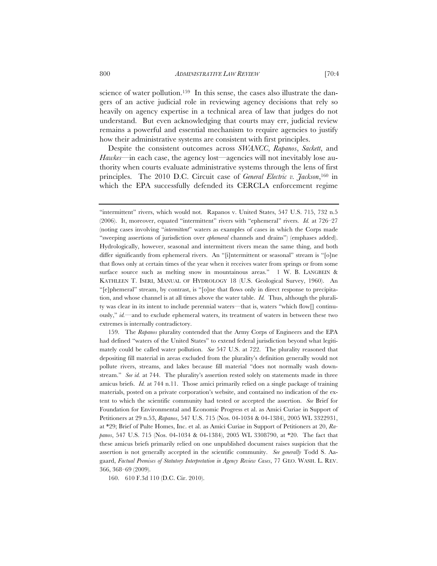science of water pollution.<sup>159</sup> In this sense, the cases also illustrate the dangers of an active judicial role in reviewing agency decisions that rely so heavily on agency expertise in a technical area of law that judges do not understand. But even acknowledging that courts may err, judicial review remains a powerful and essential mechanism to require agencies to justify how their administrative systems are consistent with first principles.

Despite the consistent outcomes across *SWANCC*, *Rapanos*, *Sackett*, and *Hawkes*—in each case, the agency lost—agencies will not inevitably lose authority when courts evaluate administrative systems through the lens of first principles. The 2010 D.C. Circuit case of *General Electric v. Jackson*,160 in which the EPA successfully defended its CERCLA enforcement regime

160. 610 F.3d 110 (D.C. Cir. 2010).

<sup>&</sup>quot;intermittent" rivers, which would not. Rapanos v. United States, 547 U.S. 715, 732 n.5 (2006). It, moreover, equated "intermittent" rivers with "ephemeral" rivers. *Id.* at 726–27 (noting cases involving "*intermittent*" waters as examples of cases in which the Corps made "sweeping assertions of jurisdiction over *ephemeral* channels and drains") (emphases added). Hydrologically, however, seasonal and intermittent rivers mean the same thing, and both differ significantly from ephemeral rivers. An "[i]ntermittent or seasonal" stream is "[o]ne that flows only at certain times of the year when it receives water from springs or from some surface source such as melting snow in mountainous areas." 1 W. B. LANGBEIN & KATHLEEN T. ISERI, MANUAL OF HYDROLOGY 18 (U.S. Geological Survey, 1960). An "[e]phemeral" stream, by contrast, is "[o]ne that flows only in direct response to precipitation, and whose channel is at all times above the water table. *Id.* Thus, although the plurality was clear in its intent to include perennial waters—that is, waters "which flow[] continuously," *id.*—and to exclude ephemeral waters, its treatment of waters in between these two extremes is internally contradictory.

<sup>159.</sup> The *Rapanos* plurality contended that the Army Corps of Engineers and the EPA had defined "waters of the United States" to extend federal jurisdiction beyond what legitimately could be called water pollution. *See* 547 U.S. at 722. The plurality reasoned that depositing fill material in areas excluded from the plurality's definition generally would not pollute rivers, streams, and lakes because fill material "does not normally wash downstream." *See id.* at 744. The plurality's assertion rested solely on statements made in three amicus briefs. *Id.* at 744 n.11. Those amici primarily relied on a single package of training materials, posted on a private corporation's website, and contained no indication of the extent to which the scientific community had tested or accepted the assertion. *See* Brief for Foundation for Environmental and Economic Progress et al. as Amici Curiae in Support of Petitioners at 29 n.53, *Rapanos*, 547 U.S. 715 (Nos. 04-1034 & 04-1384), 2005 WL 3322931, at \*29; Brief of Pulte Homes, Inc. et al. as Amici Curiae in Support of Petitioners at 20, *Rapanos*, 547 U.S. 715 (Nos. 04-1034 & 04-1384), 2005 WL 3308790, at \*20. The fact that these amicus briefs primarily relied on one unpublished document raises suspicion that the assertion is not generally accepted in the scientific community. *See generally* Todd S. Aagaard, *Factual Premises of Statutory Interpretation in Agency Review Cases*, 77 GEO. WASH. L. REV. 366, 368–69 (2009).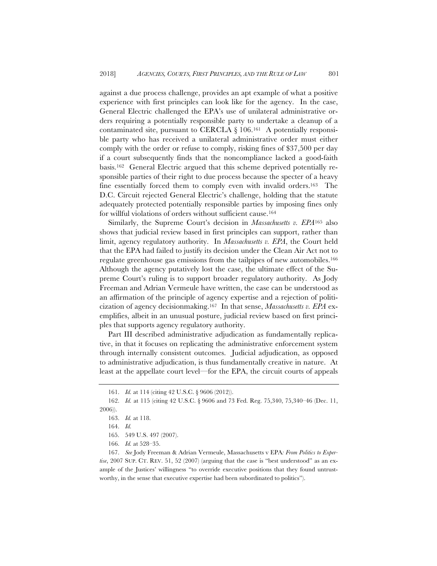against a due process challenge, provides an apt example of what a positive experience with first principles can look like for the agency. In the case, General Electric challenged the EPA's use of unilateral administrative orders requiring a potentially responsible party to undertake a cleanup of a contaminated site, pursuant to CERCLA  $\S$  106.<sup>161</sup> A potentially responsible party who has received a unilateral administrative order must either comply with the order or refuse to comply, risking fines of \$37,500 per day if a court subsequently finds that the noncompliance lacked a good-faith basis.162 General Electric argued that this scheme deprived potentially responsible parties of their right to due process because the specter of a heavy fine essentially forced them to comply even with invalid orders.163 The D.C. Circuit rejected General Electric's challenge, holding that the statute adequately protected potentially responsible parties by imposing fines only for willful violations of orders without sufficient cause.<sup>164</sup>

Similarly, the Supreme Court's decision in *Massachusetts v. EPA*165 also shows that judicial review based in first principles can support, rather than limit, agency regulatory authority. In *Massachusetts v. EPA*, the Court held that the EPA had failed to justify its decision under the Clean Air Act not to regulate greenhouse gas emissions from the tailpipes of new automobiles.166 Although the agency putatively lost the case, the ultimate effect of the Supreme Court's ruling is to support broader regulatory authority. As Jody Freeman and Adrian Vermeule have written, the case can be understood as an affirmation of the principle of agency expertise and a rejection of politicization of agency decisionmaking.167 In that sense, *Massachusetts v. EPA* exemplifies, albeit in an unusual posture, judicial review based on first principles that supports agency regulatory authority.

Part III described administrative adjudication as fundamentally replicative, in that it focuses on replicating the administrative enforcement system through internally consistent outcomes. Judicial adjudication, as opposed to administrative adjudication, is thus fundamentally creative in nature. At least at the appellate court level—for the EPA, the circuit courts of appeals

<sup>161.</sup> *Id.* at 114 (citing 42 U.S.C. § 9606 (2012)).

<sup>162.</sup> *Id.* at 115 (citing 42 U.S.C. § 9606 and 73 Fed. Reg. 75,340, 75,340–46 (Dec. 11, 2006)).

<sup>163.</sup> *Id.* at 118.

<sup>164.</sup> *Id.*

<sup>165. 549</sup> U.S. 497 (2007).

<sup>166.</sup> *Id.* at 528–35.

<sup>167.</sup> *See* Jody Freeman & Adrian Vermeule, Massachusetts v EPA*: From Politics to Expertise*, 2007 SUP. CT. REV. 51, 52 (2007) (arguing that the case is "best understood" as an example of the Justices' willingness "to override executive positions that they found untrustworthy, in the sense that executive expertise had been subordinated to politics").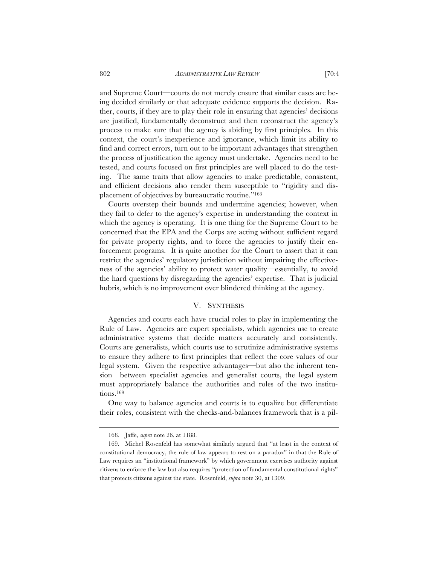and Supreme Court—courts do not merely ensure that similar cases are being decided similarly or that adequate evidence supports the decision. Rather, courts, if they are to play their role in ensuring that agencies' decisions are justified, fundamentally deconstruct and then reconstruct the agency's process to make sure that the agency is abiding by first principles. In this context, the court's inexperience and ignorance, which limit its ability to find and correct errors, turn out to be important advantages that strengthen the process of justification the agency must undertake. Agencies need to be tested, and courts focused on first principles are well placed to do the testing. The same traits that allow agencies to make predictable, consistent, and efficient decisions also render them susceptible to "rigidity and displacement of objectives by bureaucratic routine."168

Courts overstep their bounds and undermine agencies; however, when they fail to defer to the agency's expertise in understanding the context in which the agency is operating. It is one thing for the Supreme Court to be concerned that the EPA and the Corps are acting without sufficient regard for private property rights, and to force the agencies to justify their enforcement programs. It is quite another for the Court to assert that it can restrict the agencies' regulatory jurisdiction without impairing the effectiveness of the agencies' ability to protect water quality—essentially, to avoid the hard questions by disregarding the agencies' expertise. That is judicial hubris, which is no improvement over blindered thinking at the agency.

# V. SYNTHESIS

Agencies and courts each have crucial roles to play in implementing the Rule of Law. Agencies are expert specialists, which agencies use to create administrative systems that decide matters accurately and consistently. Courts are generalists, which courts use to scrutinize administrative systems to ensure they adhere to first principles that reflect the core values of our legal system. Given the respective advantages—but also the inherent tension—between specialist agencies and generalist courts, the legal system must appropriately balance the authorities and roles of the two institutions.169

One way to balance agencies and courts is to equalize but differentiate their roles, consistent with the checks-and-balances framework that is a pil-

<sup>168.</sup> Jaffe, *supra* note 26, at 1188.

<sup>169.</sup> Michel Rosenfeld has somewhat similarly argued that "at least in the context of constitutional democracy, the rule of law appears to rest on a paradox" in that the Rule of Law requires an "institutional framework" by which government exercises authority against citizens to enforce the law but also requires "protection of fundamental constitutional rights" that protects citizens against the state. Rosenfeld, *supra* note 30, at 1309.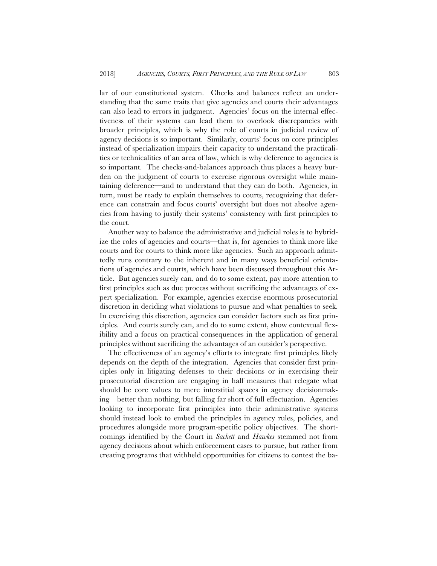lar of our constitutional system. Checks and balances reflect an understanding that the same traits that give agencies and courts their advantages can also lead to errors in judgment. Agencies' focus on the internal effectiveness of their systems can lead them to overlook discrepancies with broader principles, which is why the role of courts in judicial review of agency decisions is so important. Similarly, courts' focus on core principles instead of specialization impairs their capacity to understand the practicalities or technicalities of an area of law, which is why deference to agencies is so important. The checks-and-balances approach thus places a heavy burden on the judgment of courts to exercise rigorous oversight while maintaining deference—and to understand that they can do both. Agencies, in turn, must be ready to explain themselves to courts, recognizing that deference can constrain and focus courts' oversight but does not absolve agencies from having to justify their systems' consistency with first principles to the court.

Another way to balance the administrative and judicial roles is to hybridize the roles of agencies and courts—that is, for agencies to think more like courts and for courts to think more like agencies. Such an approach admittedly runs contrary to the inherent and in many ways beneficial orientations of agencies and courts, which have been discussed throughout this Article. But agencies surely can, and do to some extent, pay more attention to first principles such as due process without sacrificing the advantages of expert specialization. For example, agencies exercise enormous prosecutorial discretion in deciding what violations to pursue and what penalties to seek. In exercising this discretion, agencies can consider factors such as first principles. And courts surely can, and do to some extent, show contextual flexibility and a focus on practical consequences in the application of general principles without sacrificing the advantages of an outsider's perspective.

The effectiveness of an agency's efforts to integrate first principles likely depends on the depth of the integration. Agencies that consider first principles only in litigating defenses to their decisions or in exercising their prosecutorial discretion are engaging in half measures that relegate what should be core values to mere interstitial spaces in agency decisionmaking—better than nothing, but falling far short of full effectuation. Agencies looking to incorporate first principles into their administrative systems should instead look to embed the principles in agency rules, policies, and procedures alongside more program-specific policy objectives. The shortcomings identified by the Court in *Sackett* and *Hawkes* stemmed not from agency decisions about which enforcement cases to pursue, but rather from creating programs that withheld opportunities for citizens to contest the ba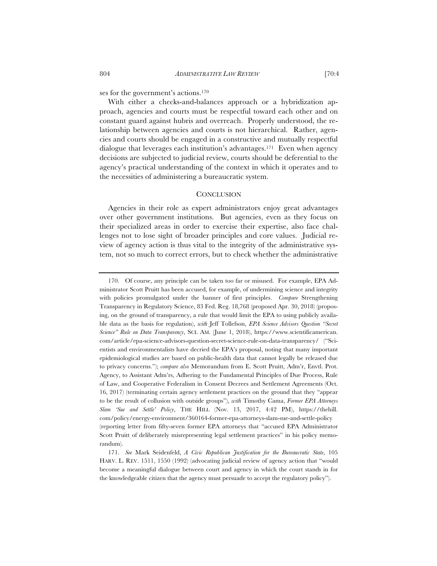ses for the government's actions.170

With either a checks-and-balances approach or a hybridization approach, agencies and courts must be respectful toward each other and on constant guard against hubris and overreach. Properly understood, the relationship between agencies and courts is not hierarchical. Rather, agencies and courts should be engaged in a constructive and mutually respectful dialogue that leverages each institution's advantages.171 Even when agency decisions are subjected to judicial review, courts should be deferential to the agency's practical understanding of the context in which it operates and to the necessities of administering a bureaucratic system.

#### **CONCLUSION**

Agencies in their role as expert administrators enjoy great advantages over other government institutions. But agencies, even as they focus on their specialized areas in order to exercise their expertise, also face challenges not to lose sight of broader principles and core values. Judicial review of agency action is thus vital to the integrity of the administrative system, not so much to correct errors, but to check whether the administrative

171. *See* Mark Seidenfeld, *A Civic Republican Justification for the Bureaucratic State*, 105 HARV. L. REV. 1511, 1550 (1992) (advocating judicial review of agency action that "would become a meaningful dialogue between court and agency in which the court stands in for the knowledgeable citizen that the agency must persuade to accept the regulatory policy").

<sup>170.</sup> Of course, any principle can be taken too far or misused. For example, EPA Administrator Scott Pruitt has been accused, for example, of undermining science and integrity with policies promulgated under the banner of first principles. *Compare* Strengthening Transparency in Regulatory Science, 83 Fed. Reg. 18,768 (proposed Apr. 30, 2018) (proposing, on the ground of transparency, a rule that would limit the EPA to using publicly available data as the basis for regulation), *with* Jeff Tollefson, *EPA Science Advisors Question "Secret Science" Rule on Data Transparency*, SCI. AM. (June 1, 2018), https://www.scientificamerican. com/article/epa-science-advisors-question-secret-science-rule-on-data-transparency/ ("Scientists and environmentalists have decried the EPA's proposal, noting that many important epidemiological studies are based on public-health data that cannot legally be released due to privacy concerns."); *compare also* Memorandum from E. Scott Pruitt, Adm'r, Envtl. Prot. Agency, to Assistant Adm'rs, Adhering to the Fundamental Principles of Due Process, Rule of Law, and Cooperative Federalism in Consent Decrees and Settlement Agreements (Oct. 16, 2017) (terminating certain agency settlement practices on the ground that they "appear to be the result of collusion with outside groups"), *with* Timothy Cama, *Former EPA Attorneys Slam 'Sue and Settle' Policy*, THE HILL (Nov. 13, 2017, 4:42 PM), https://thehill. com/policy/energy-environment/360164-former-epa-attorneys-slam-sue-and-settle-policy (reporting letter from fifty-seven former EPA attorneys that "accused EPA Administrator Scott Pruitt of deliberately misrepresenting legal settlement practices" in his policy memorandum).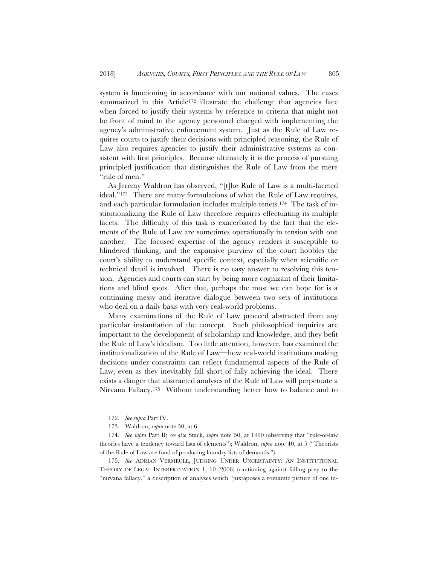system is functioning in accordance with our national values. The cases summarized in this Article<sup>172</sup> illustrate the challenge that agencies face when forced to justify their systems by reference to criteria that might not be front of mind to the agency personnel charged with implementing the agency's administrative enforcement system. Just as the Rule of Law requires courts to justify their decisions with principled reasoning, the Rule of Law also requires agencies to justify their administrative systems as consistent with first principles. Because ultimately it is the process of pursuing principled justification that distinguishes the Rule of Law from the mere "rule of men."

As Jeremy Waldron has observed, "[t]he Rule of Law is a multi-faceted ideal."173 There are many formulations of what the Rule of Law requires, and each particular formulation includes multiple tenets.174 The task of institutionalizing the Rule of Law therefore requires effectuating its multiple facets. The difficulty of this task is exacerbated by the fact that the elements of the Rule of Law are sometimes operationally in tension with one another. The focused expertise of the agency renders it susceptible to blindered thinking, and the expansive purview of the court hobbles the court's ability to understand specific context, especially when scientific or technical detail is involved. There is no easy answer to resolving this tension. Agencies and courts can start by being more cognizant of their limitations and blind spots. After that, perhaps the most we can hope for is a continuing messy and iterative dialogue between two sets of institutions who deal on a daily basis with very real-world problems.

Many examinations of the Rule of Law proceed abstracted from any particular instantiation of the concept. Such philosophical inquiries are important to the development of scholarship and knowledge, and they befit the Rule of Law's idealism. Too little attention, however, has examined the institutionalization of the Rule of Law—how real-world institutions making decisions under constraints can reflect fundamental aspects of the Rule of Law, even as they inevitably fall short of fully achieving the ideal. There exists a danger that abstracted analyses of the Rule of Law will perpetuate a Nirvana Fallacy.175 Without understanding better how to balance and to

<sup>172.</sup> *See supra* Part IV.

<sup>173.</sup> Waldron, *supra* note 50, at 6.

<sup>174.</sup> *See supra* Part II; *see also* Stack, *supra* note 50, at 1990 (observing that "rule-of-law theories have a tendency toward lists of elements"); Waldron, *supra* note 40, at 5 ("Theorists of the Rule of Law are fond of producing laundry lists of demands.").

<sup>175.</sup> *See* ADRIAN VERMEULE, JUDGING UNDER UNCERTAINTY: AN INSTITUTIONAL THEORY OF LEGAL INTERPRETATION 1, 10 (2006) (cautioning against falling prey to the "nirvana fallacy," a description of analyses which "juxtaposes a romantic picture of one in-